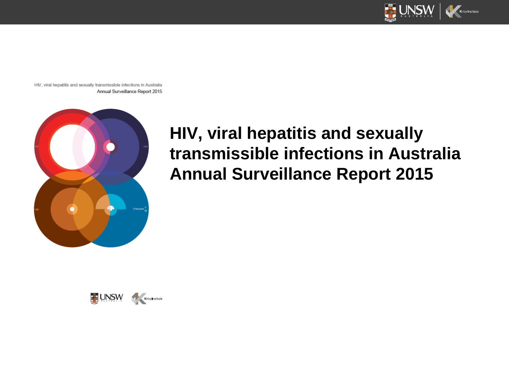

HIV, viral hepatitis and sexually transmissible infections in Australia Annual Surveillance Report 2015



## **HIV, viral hepatitis and sexually transmissible infections in Australia Annual Surveillance Report 2015**

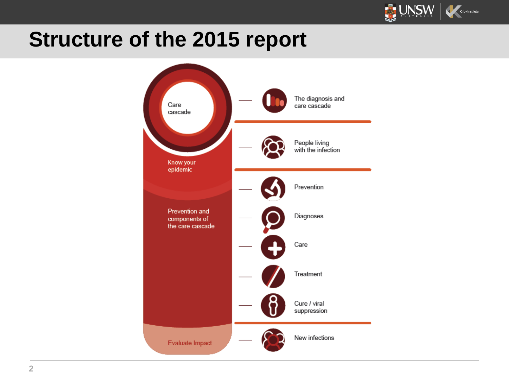

# **Structure of the 2015 report**

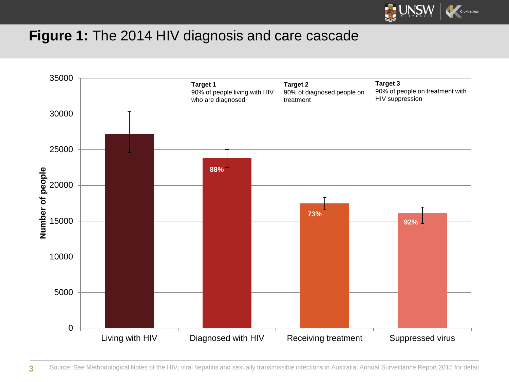

#### **Figure 1:** The 2014 HIV diagnosis and care cascade

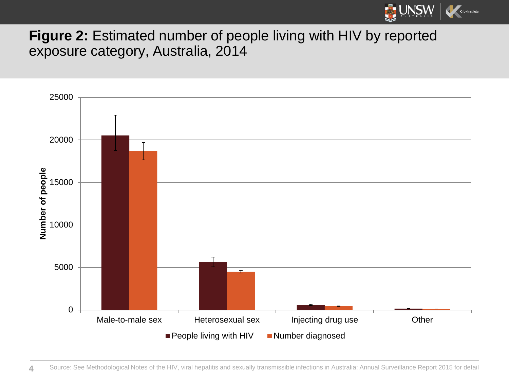

### **Figure 2:** Estimated number of people living with HIV by reported exposure category, Australia, 2014

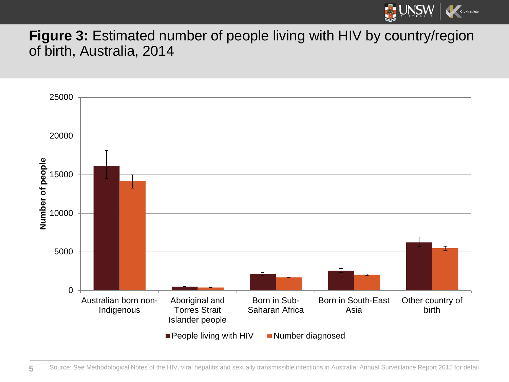

#### **Figure 3:** Estimated number of people living with HIV by country/region of birth, Australia, 2014

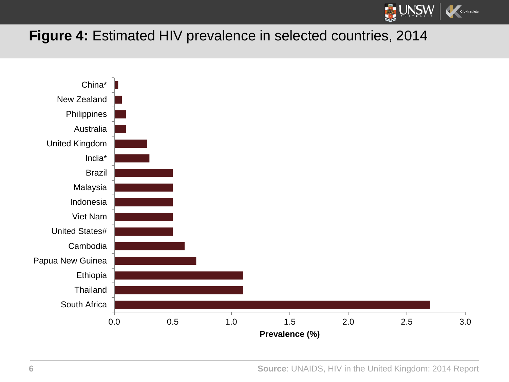

### **Figure 4:** Estimated HIV prevalence in selected countries, 2014



**Source**: UNAIDS, HIV in the United Kingdom: 2014 Report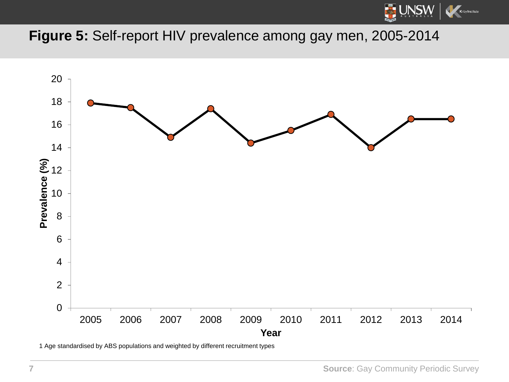

#### **Figure 5:** Self-report HIV prevalence among gay men, 2005-2014



1 Age standardised by ABS populations and weighted by different recruitment types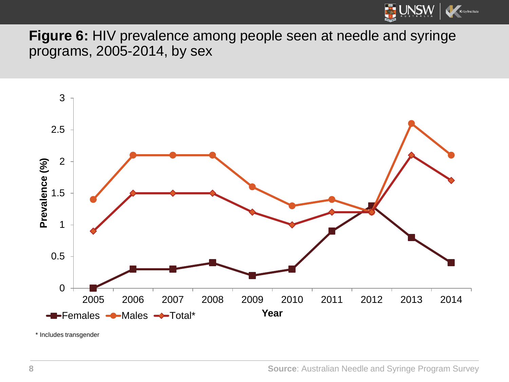

**Figure 6:** HIV prevalence among people seen at needle and syringe programs, 2005-2014, by sex



\* Includes transgender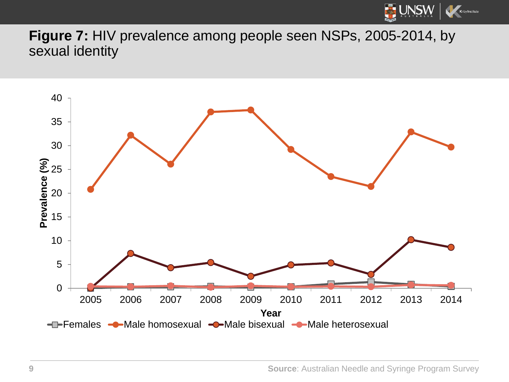

**Figure 7:** HIV prevalence among people seen NSPs, 2005-2014, by sexual identity

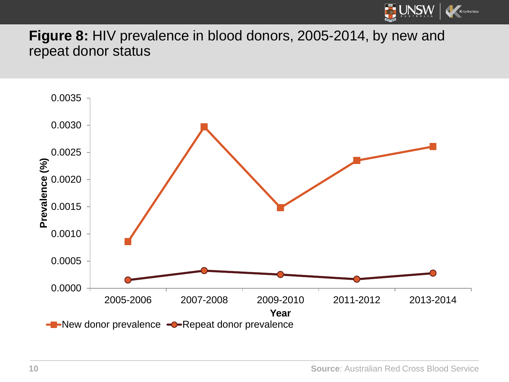

**Figure 8:** HIV prevalence in blood donors, 2005-2014, by new and repeat donor status

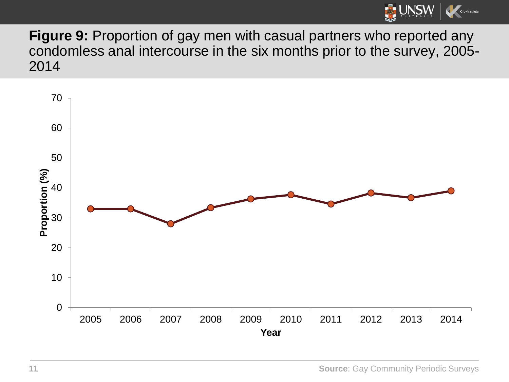

**Figure 9:** Proportion of gay men with casual partners who reported any condomless anal intercourse in the six months prior to the survey, 2005- 

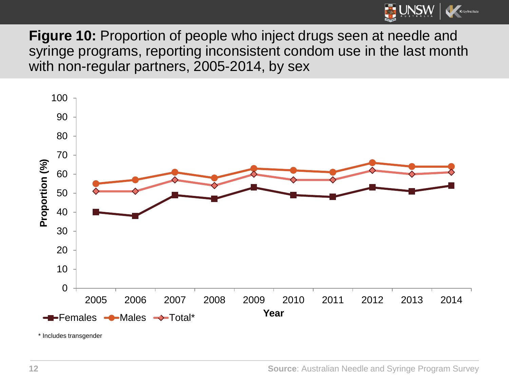

**Figure 10:** Proportion of people who inject drugs seen at needle and syringe programs, reporting inconsistent condom use in the last month with non-regular partners, 2005-2014, by sex



\* Includes transgender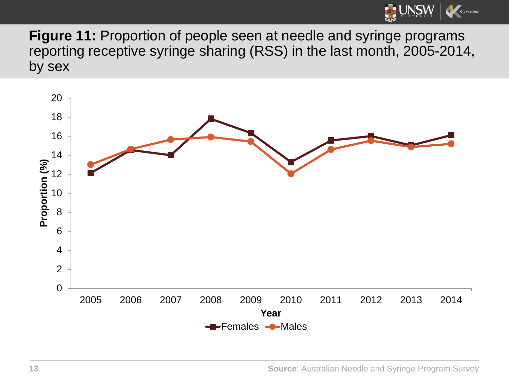

**Figure 11:** Proportion of people seen at needle and syringe programs reporting receptive syringe sharing (RSS) in the last month, 2005-2014, by sex

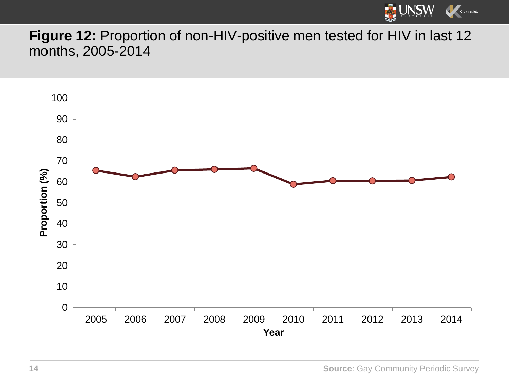

### **Figure 12:** Proportion of non-HIV-positive men tested for HIV in last 12 months, 2005-2014

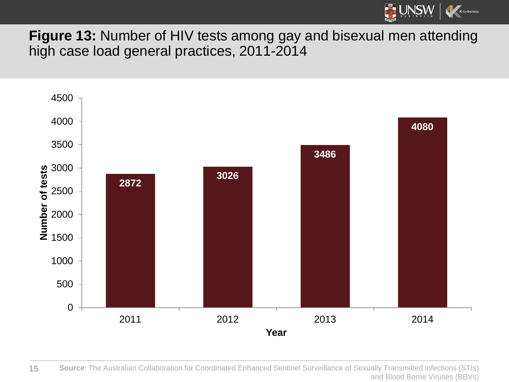

**Figure 13:** Number of HIV tests among gay and bisexual men attending high case load general practices, 2011-2014



 **Source**: The Australian Collaboration for Coordinated Enhanced Sentinel Surveillance of Sexually Transmitted Infections (STIs) and Blood Borne Viruses (BBVs)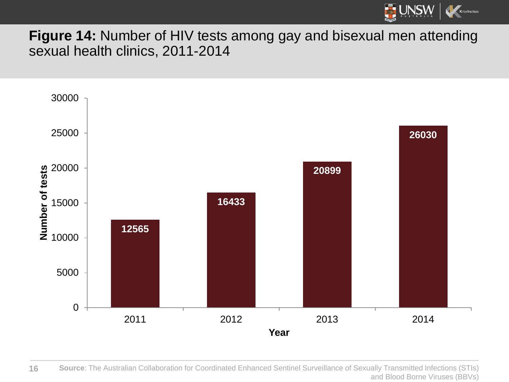

**Figure 14:** Number of HIV tests among gay and bisexual men attending sexual health clinics, 2011-2014



 **Source**: The Australian Collaboration for Coordinated Enhanced Sentinel Surveillance of Sexually Transmitted Infections (STIs) and Blood Borne Viruses (BBVs)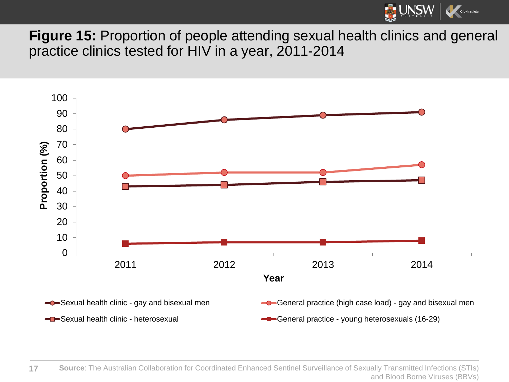

**Figure 15:** Proportion of people attending sexual health clinics and general practice clinics tested for HIV in a year, 2011-2014

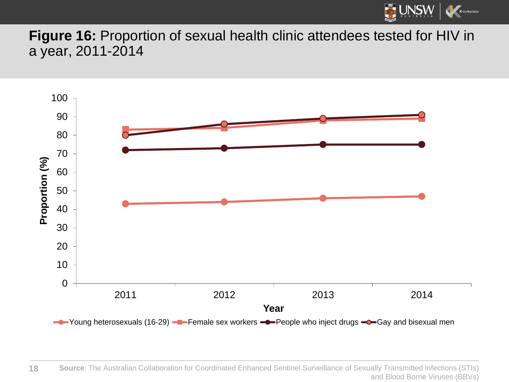

**Figure 16:** Proportion of sexual health clinic attendees tested for HIV in a year, 2011-2014

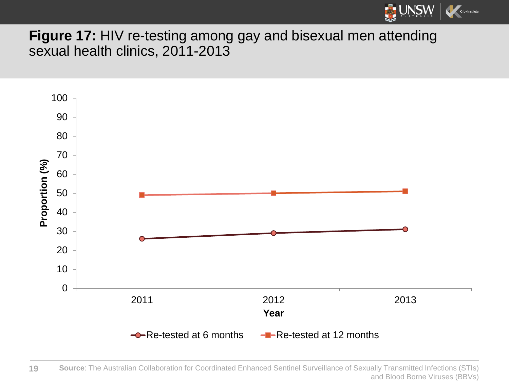

**Figure 17:** HIV re-testing among gay and bisexual men attending sexual health clinics, 2011-2013

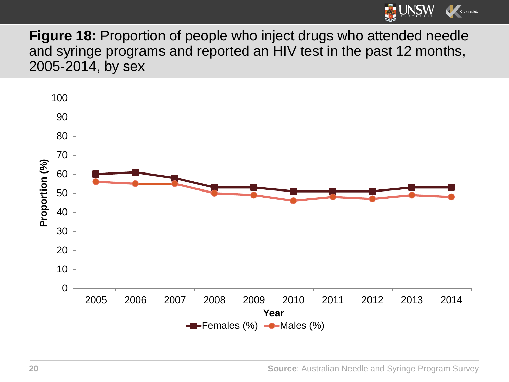

**Figure 18:** Proportion of people who inject drugs who attended needle and syringe programs and reported an HIV test in the past 12 months, 2005-2014, by sex



**Source**: Australian Needle and Syringe Program Survey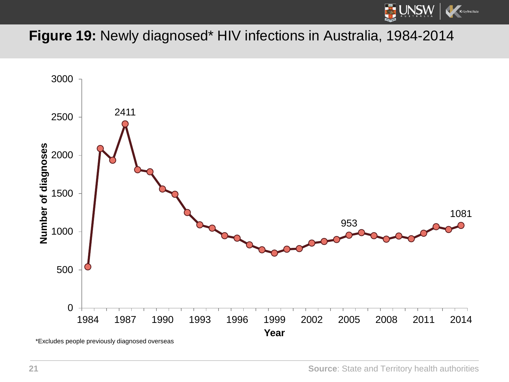

### **Figure 19:** Newly diagnosed\* HIV infections in Australia, 1984-2014

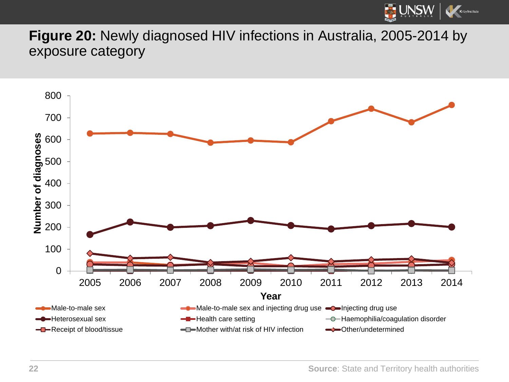

**Figure 20:** Newly diagnosed HIV infections in Australia, 2005-2014 by exposure category

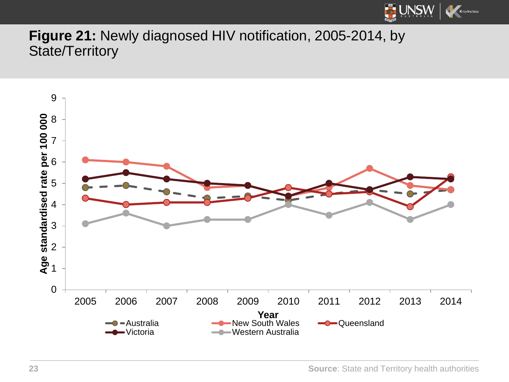

### **Figure 21:** Newly diagnosed HIV notification, 2005-2014, by State/Territory

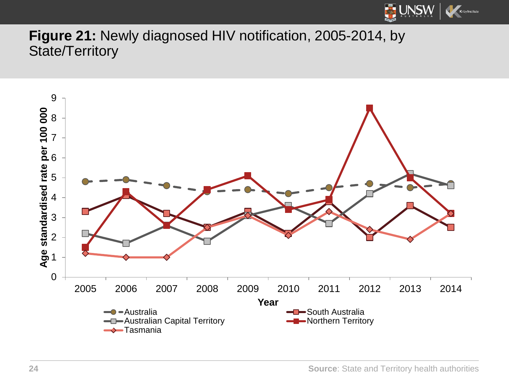

#### **Figure 21:** Newly diagnosed HIV notification, 2005-2014, by State/Territory



**Source**: State and Territory health authorities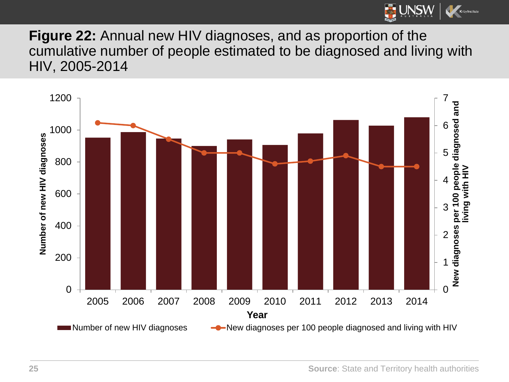

**Figure 22:** Annual new HIV diagnoses, and as proportion of the cumulative number of people estimated to be diagnosed and living with HIV, 2005-2014

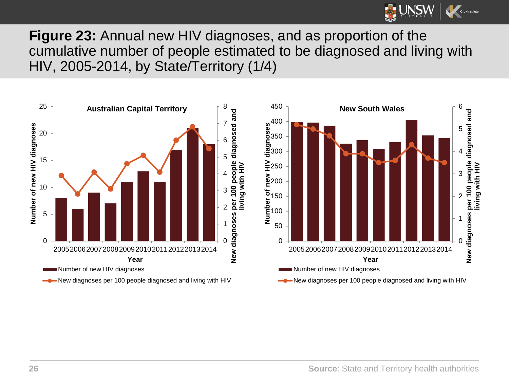

**Figure 23:** Annual new HIV diagnoses, and as proportion of the cumulative number of people estimated to be diagnosed and living with HIV, 2005-2014, by State/Territory (1/4)

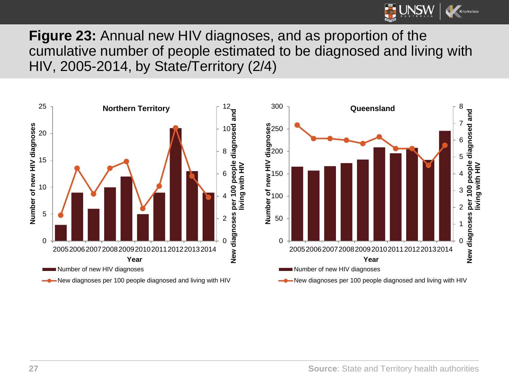

**Figure 23:** Annual new HIV diagnoses, and as proportion of the cumulative number of people estimated to be diagnosed and living with HIV, 2005-2014, by State/Territory (2/4)

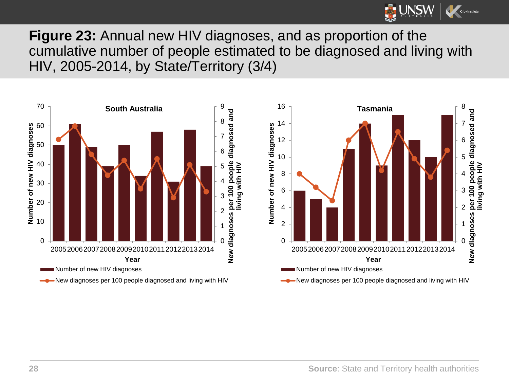

**Figure 23:** Annual new HIV diagnoses, and as proportion of the cumulative number of people estimated to be diagnosed and living with HIV, 2005-2014, by State/Territory (3/4)

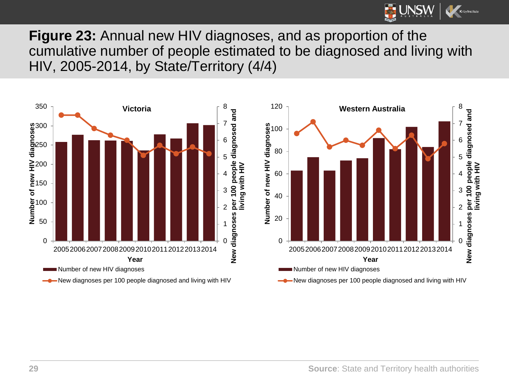

**Figure 23:** Annual new HIV diagnoses, and as proportion of the cumulative number of people estimated to be diagnosed and living with HIV, 2005-2014, by State/Territory (4/4)

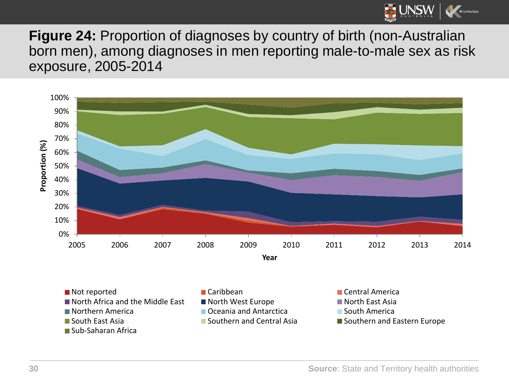

**Figure 24:** Proportion of diagnoses by country of birth (non-Australian born men), among diagnoses in men reporting male-to-male sex as risk exposure, 2005-2014

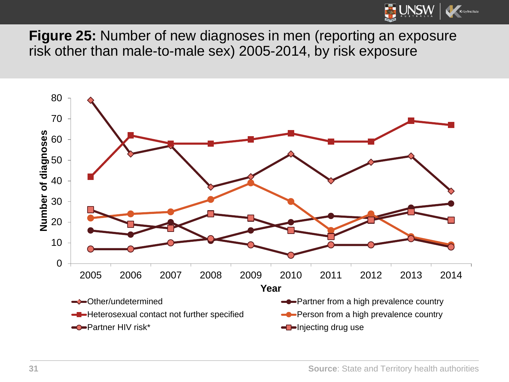

**Figure 25:** Number of new diagnoses in men (reporting an exposure risk other than male-to-male sex) 2005-2014, by risk exposure

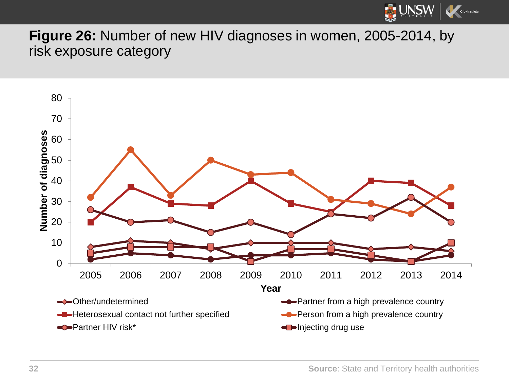

**Figure 26:** Number of new HIV diagnoses in women, 2005-2014, by risk exposure category

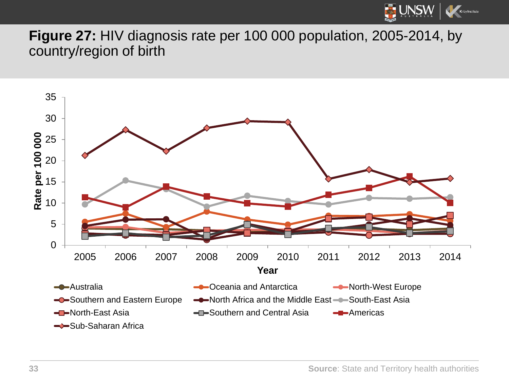

**Figure 27:** HIV diagnosis rate per 100 000 population, 2005-2014, by country/region of birth



**Source**: State and Territory health authorities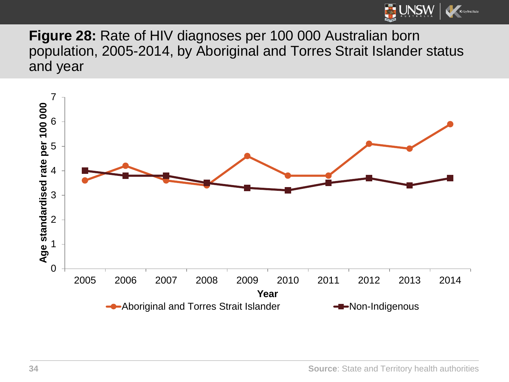

**Figure 28:** Rate of HIV diagnoses per 100 000 Australian born population, 2005-2014, by Aboriginal and Torres Strait Islander status and year

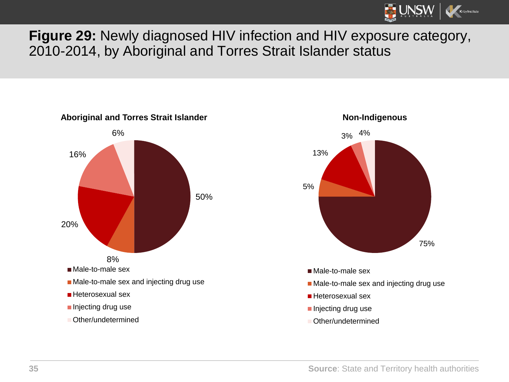

#### **Figure 29:** Newly diagnosed HIV infection and HIV exposure category, 2010-2014, by Aboriginal and Torres Strait Islander status





**Source**: State and Territory health authorities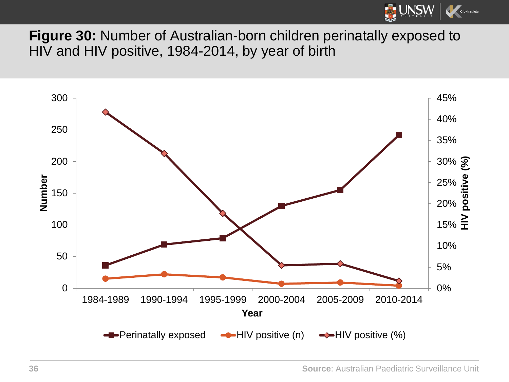

**Figure 30:** Number of Australian-born children perinatally exposed to HIV and HIV positive, 1984-2014, by year of birth

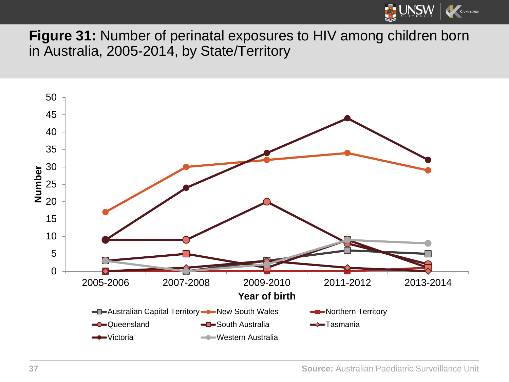

**Figure 31:** Number of perinatal exposures to HIV among children born in Australia, 2005-2014, by State/Territory

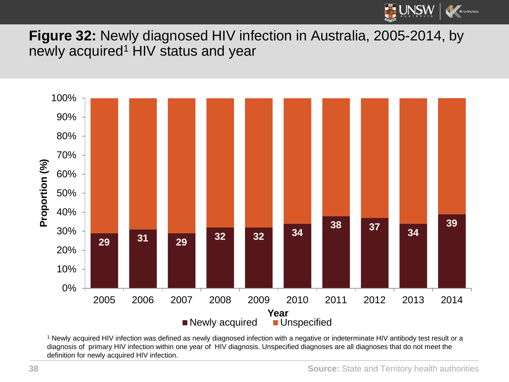

**Figure 32:** Newly diagnosed HIV infection in Australia, 2005-2014, by newly acquired<sup>1</sup> HIV status and year



<sup>1</sup> Newly acquired HIV infection was defined as newly diagnosed infection with a negative or indeterminate HIV antibody test result or a diagnosis of primary HIV infection within one year of HIV diagnosis. Unspecified diagnoses are all diagnoses that do not meet the definition for newly acquired HIV infection.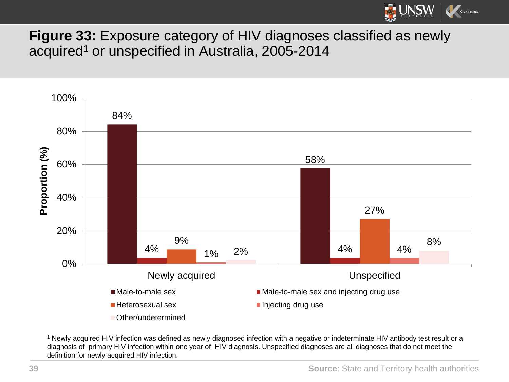

**Figure 33:** Exposure category of HIV diagnoses classified as newly acquired<sup>1</sup> or unspecified in Australia, 2005-2014



<sup>1</sup> Newly acquired HIV infection was defined as newly diagnosed infection with a negative or indeterminate HIV antibody test result or a diagnosis of primary HIV infection within one year of HIV diagnosis. Unspecified diagnoses are all diagnoses that do not meet the definition for newly acquired HIV infection.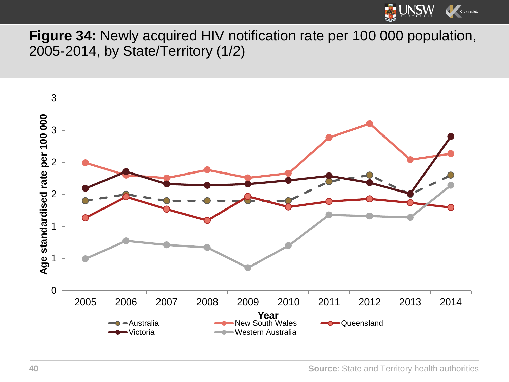

**Figure 34:** Newly acquired HIV notification rate per 100 000 population, 2005-2014, by State/Territory (1/2)

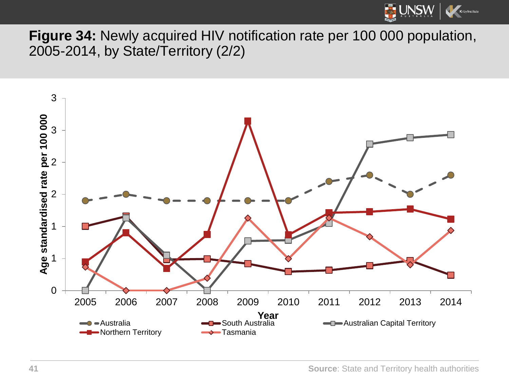

**Figure 34:** Newly acquired HIV notification rate per 100 000 population, 2005-2014, by State/Territory (2/2)

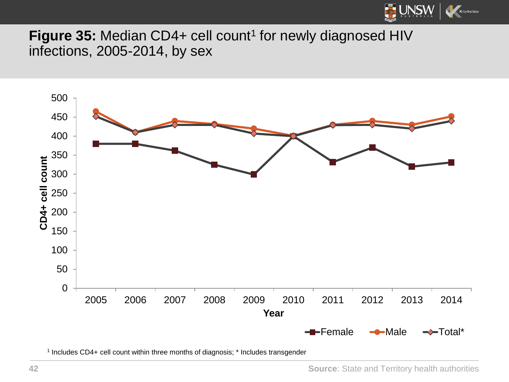

Figure 35: Median CD4+ cell count<sup>1</sup> for newly diagnosed HIV infections, 2005-2014, by sex



Includes CD4+ cell count within three months of diagnosis; \* Includes transgender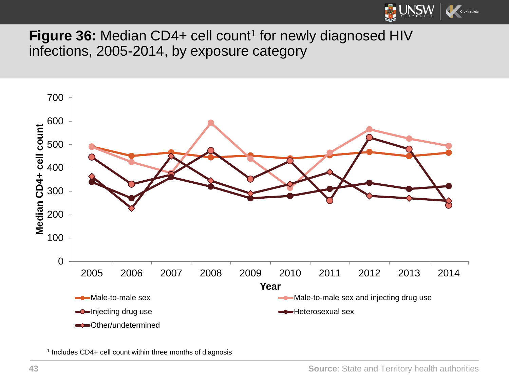

**Figure 36:** Median CD4+ cell count<sup>1</sup> for newly diagnosed HIV infections, 2005-2014, by exposure category



Includes CD4+ cell count within three months of diagnosis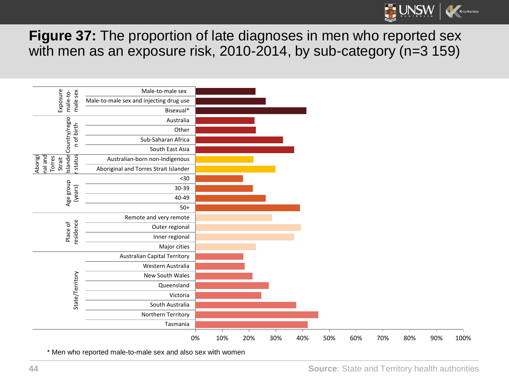

**Figure 37:** The proportion of late diagnoses in men who reported sex with men as an exposure risk, 2010-2014, by sub-category (n=3 159)

| Exposure<br>male sex<br>male-to-                                                                                    | Male-to-male sex                        |    |     |     |     |     |     |     |     |     |     |      |
|---------------------------------------------------------------------------------------------------------------------|-----------------------------------------|----|-----|-----|-----|-----|-----|-----|-----|-----|-----|------|
|                                                                                                                     | Male-to-male sex and injecting drug use |    |     |     |     |     |     |     |     |     |     |      |
|                                                                                                                     | Bisexual*                               |    |     |     |     |     |     |     |     |     |     |      |
| Country/regio<br>n of birth<br>Islande<br>rstatus<br>Aborigi<br>nal and<br>Torres<br>Strait<br>Age group<br>(years) | Australia                               |    |     |     |     |     |     |     |     |     |     |      |
|                                                                                                                     | Other                                   |    |     |     |     |     |     |     |     |     |     |      |
|                                                                                                                     | Sub-Saharan Africa                      |    |     |     |     |     |     |     |     |     |     |      |
|                                                                                                                     | South East Asia                         |    |     |     |     |     |     |     |     |     |     |      |
|                                                                                                                     | Australian-born non-Indigenous          |    |     |     |     |     |     |     |     |     |     |      |
|                                                                                                                     | Aboriginal and Torres Strait Islander   |    |     |     |     |     |     |     |     |     |     |      |
|                                                                                                                     | $30$                                    |    |     |     |     |     |     |     |     |     |     |      |
|                                                                                                                     | 30-39                                   |    |     |     |     |     |     |     |     |     |     |      |
|                                                                                                                     | 40-49                                   |    |     |     |     |     |     |     |     |     |     |      |
|                                                                                                                     | $50+$                                   |    |     |     |     |     |     |     |     |     |     |      |
| residence<br>Place of<br>State/Territory                                                                            | Remote and very remote                  |    |     |     |     |     |     |     |     |     |     |      |
|                                                                                                                     | Outer regional                          |    |     |     |     |     |     |     |     |     |     |      |
|                                                                                                                     | Inner regional                          |    |     |     |     |     |     |     |     |     |     |      |
|                                                                                                                     | Major cities                            |    |     |     |     |     |     |     |     |     |     |      |
|                                                                                                                     | <b>Australian Capital Territory</b>     |    |     |     |     |     |     |     |     |     |     |      |
|                                                                                                                     | Western Australia                       |    |     |     |     |     |     |     |     |     |     |      |
|                                                                                                                     | New South Wales                         |    |     |     |     |     |     |     |     |     |     |      |
|                                                                                                                     | Queensland                              |    |     |     |     |     |     |     |     |     |     |      |
|                                                                                                                     | Victoria                                |    |     |     |     |     |     |     |     |     |     |      |
|                                                                                                                     | South Australia                         |    |     |     |     |     |     |     |     |     |     |      |
|                                                                                                                     | Northern Territory                      |    |     |     |     |     |     |     |     |     |     |      |
|                                                                                                                     | Tasmania                                |    |     |     |     |     |     |     |     |     |     |      |
|                                                                                                                     |                                         | 0% | 10% | 20% | 30% | 40% | 50% | 60% | 70% | 80% | 90% | 100% |
|                                                                                                                     |                                         |    |     |     |     |     |     |     |     |     |     |      |

\* Men who reported male-to-male sex and also sex with women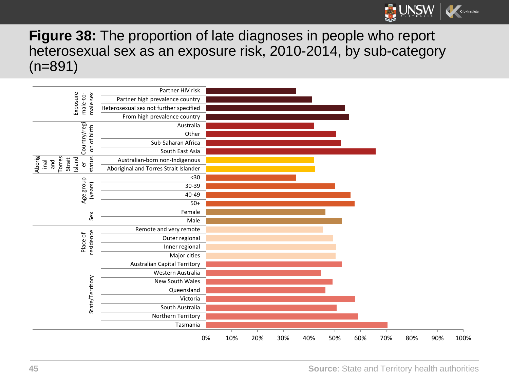

**Figure 38:** The proportion of late diagnoses in people who report heterosexual sex as an exposure risk, 2010-2014, by sub-category (n=891)

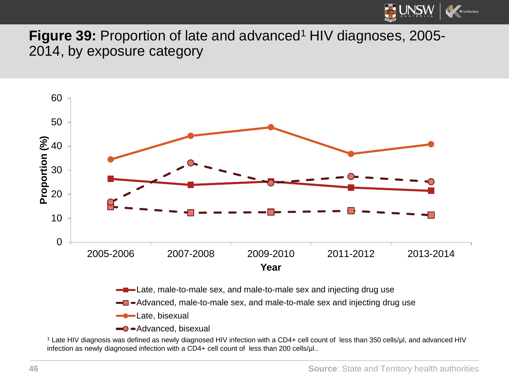

**Figure 39: Proportion of late and advanced<sup>1</sup> HIV diagnoses, 2005-**2014, by exposure category



 $\rightarrow$  -Advanced, bisexual

<sup>1</sup> Late HIV diagnosis was defined as newly diagnosed HIV infection with a CD4+ cell count of less than 350 cells/μl, and advanced HIV infection as newly diagnosed infection with a CD4+ cell count of less than 200 cells/μl..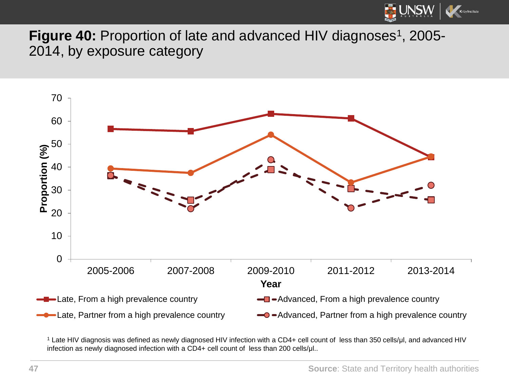

**Figure 40:** Proportion of late and advanced HIV diagnoses<sup>1</sup>, 2005-2014, by exposure category



<sup>1</sup> Late HIV diagnosis was defined as newly diagnosed HIV infection with a CD4+ cell count of less than 350 cells/μl, and advanced HIV infection as newly diagnosed infection with a CD4+ cell count of less than 200 cells/μl..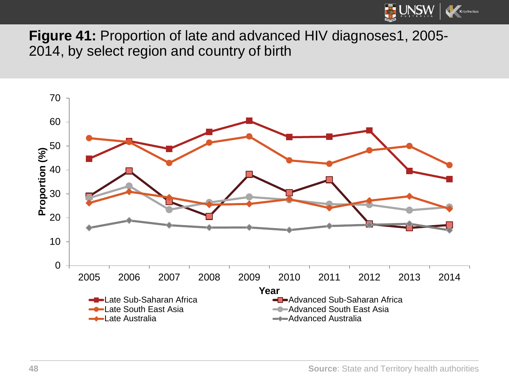

**Figure 41:** Proportion of late and advanced HIV diagnoses1, 2005- 2014, by select region and country of birth

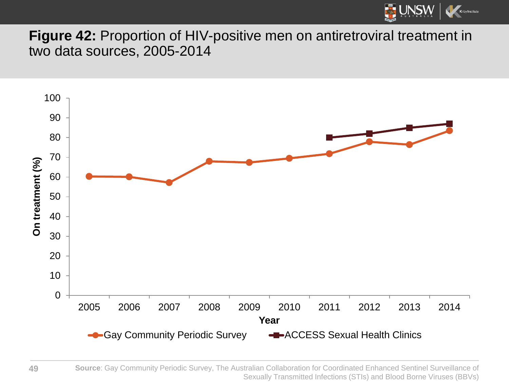

**Figure 42:** Proportion of HIV-positive men on antiretroviral treatment in two data sources, 2005-2014



**Source**: Gay Community Periodic Survey, The Australian Collaboration for Coordinated Enhanced Sentinel Surveillance of Sexually Transmitted Infections (STIs) and Blood Borne Viruses (BBVs)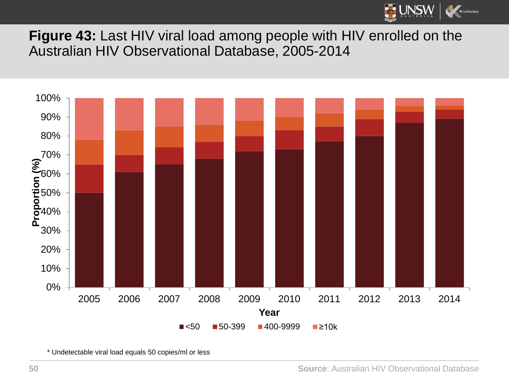

**Figure 43:** Last HIV viral load among people with HIV enrolled on the Australian HIV Observational Database, 2005-2014



\* Undetectable viral load equals 50 copies/ml or less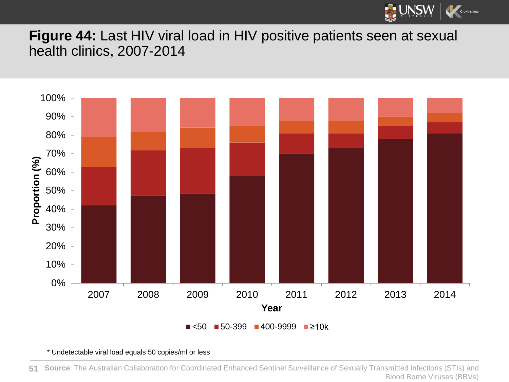

**Figure 44:** Last HIV viral load in HIV positive patients seen at sexual health clinics, 2007-2014



\* Undetectable viral load equals 50 copies/ml or less

**Source**: The Australian Collaboration for Coordinated Enhanced Sentinel Surveillance of Sexually Transmitted Infections (STIs) and Blood Borne Viruses (BBVs) **51**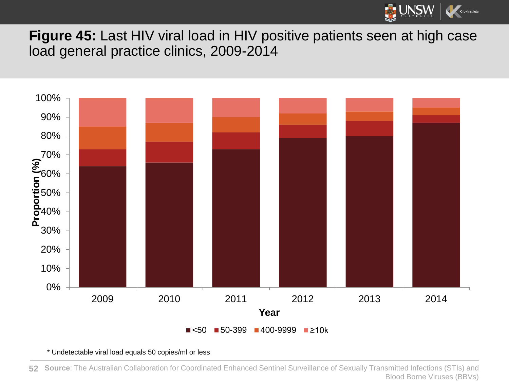

**Figure 45:** Last HIV viral load in HIV positive patients seen at high case load general practice clinics, 2009-2014



\* Undetectable viral load equals 50 copies/ml or less

**52 Source**: The Australian Collaboration for Coordinated Enhanced Sentinel Surveillance of Sexually Transmitted Infections (STIs) and Blood Borne Viruses (BBVs)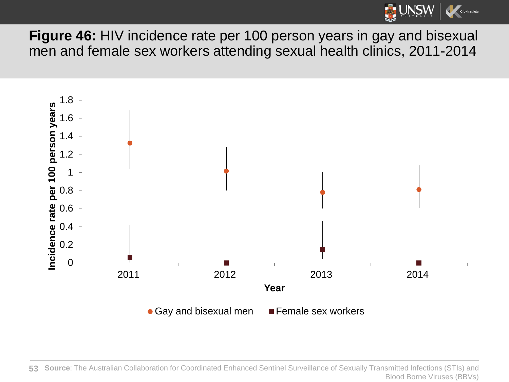

**Figure 46:** HIV incidence rate per 100 person years in gay and bisexual men and female sex workers attending sexual health clinics, 2011-2014



**53 Source**: The Australian Collaboration for Coordinated Enhanced Sentinel Surveillance of Sexually Transmitted Infections (STIs) and Blood Borne Viruses (BBVs)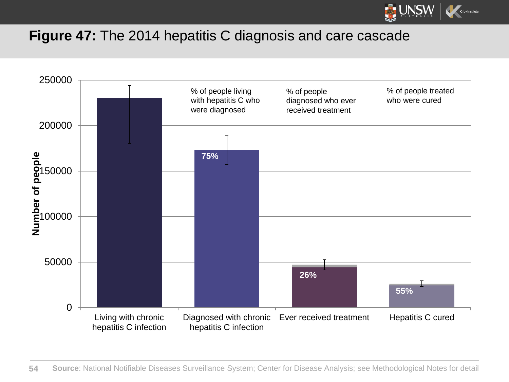

## **Figure 47:** The 2014 hepatitis C diagnosis and care cascade

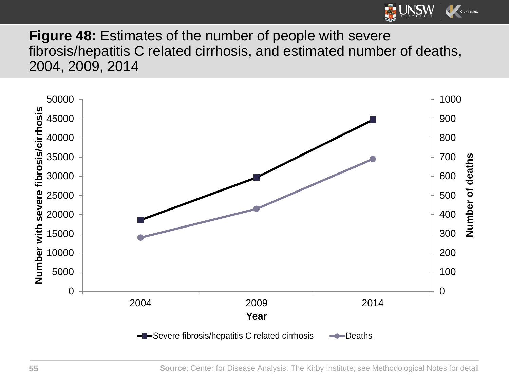

**Figure 48:** Estimates of the number of people with severe fibrosis/hepatitis C related cirrhosis, and estimated number of deaths, 2004, 2009, 2014

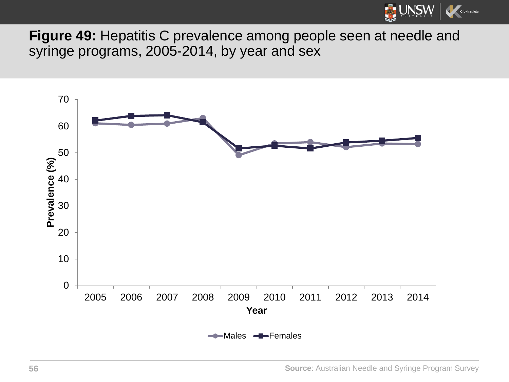

**Figure 49:** Hepatitis C prevalence among people seen at needle and syringe programs, 2005-2014, by year and sex

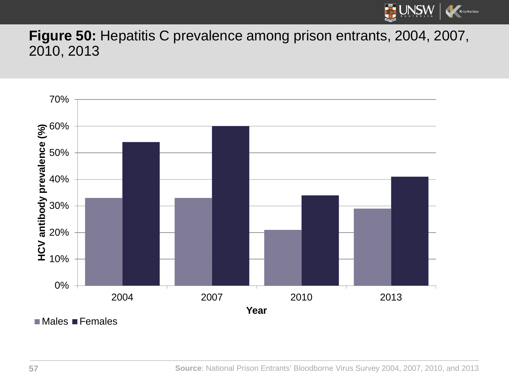

**Figure 50:** Hepatitis C prevalence among prison entrants, 2004, 2007, 2010, 2013



 $M$ ales Females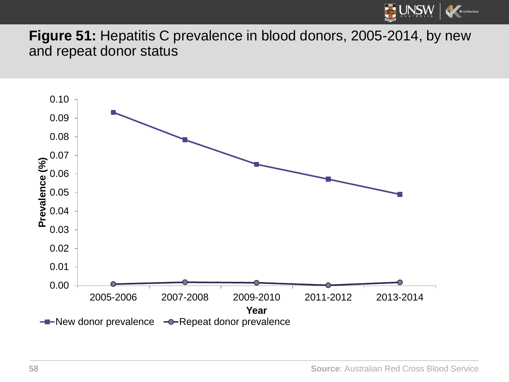

**Figure 51:** Hepatitis C prevalence in blood donors, 2005-2014, by new and repeat donor status



**58 Source**: Australian Red Cross Blood Service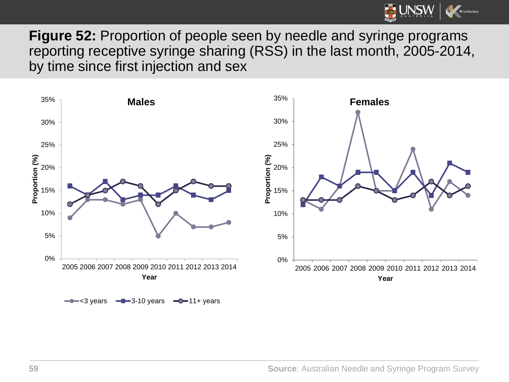

**Figure 52:** Proportion of people seen by needle and syringe programs reporting receptive syringe sharing (RSS) in the last month, 2005-2014, by time since first injection and sex



**59 Source**: Australian Needle and Syringe Program Survey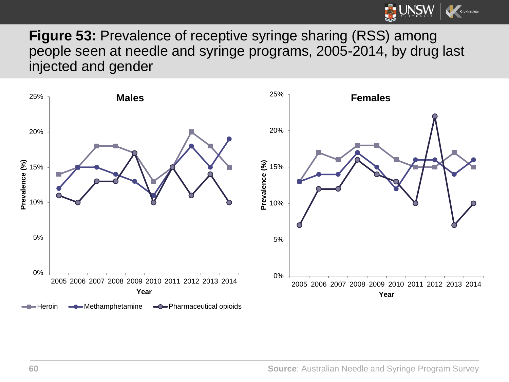

**Figure 53:** Prevalence of receptive syringe sharing (RSS) among people seen at needle and syringe programs, 2005-2014, by drug last injected and gender

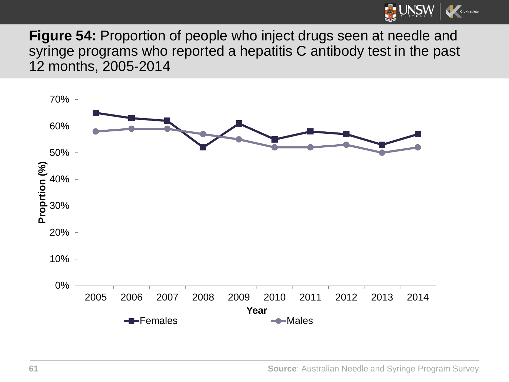

**Figure 54:** Proportion of people who inject drugs seen at needle and syringe programs who reported a hepatitis C antibody test in the past 12 months, 2005-2014

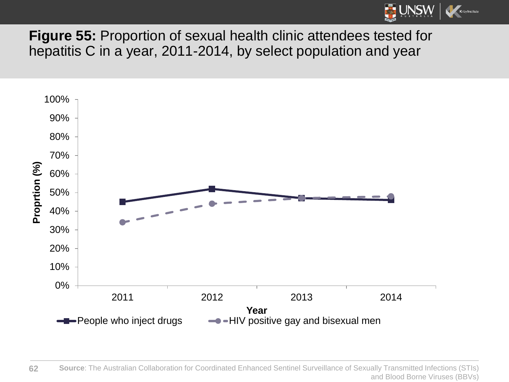

**Figure 55:** Proportion of sexual health clinic attendees tested for hepatitis C in a year, 2011-2014, by select population and year

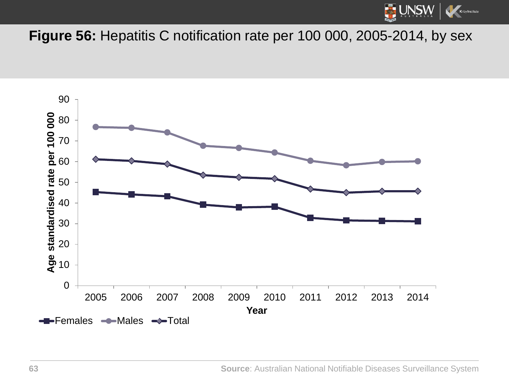

## **Figure 56:** Hepatitis C notification rate per 100 000, 2005-2014, by sex

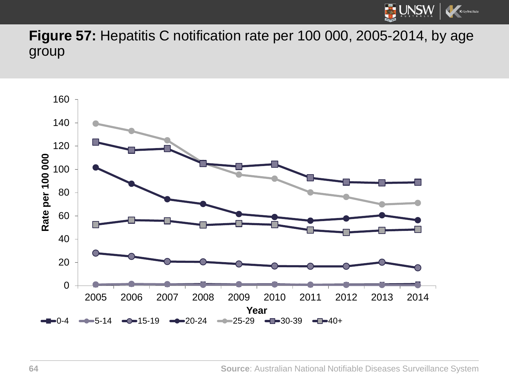

**Figure 57:** Hepatitis C notification rate per 100 000, 2005-2014, by age group

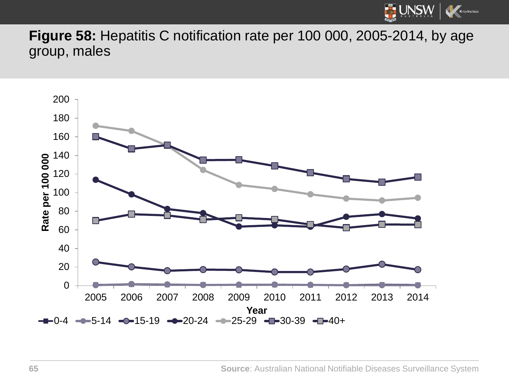

**Figure 58:** Hepatitis C notification rate per 100 000, 2005-2014, by age group, males

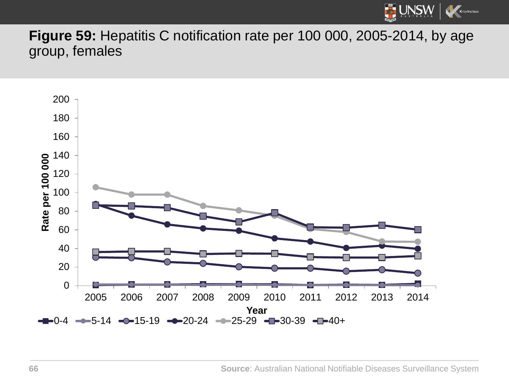

**Figure 59:** Hepatitis C notification rate per 100 000, 2005-2014, by age group, females

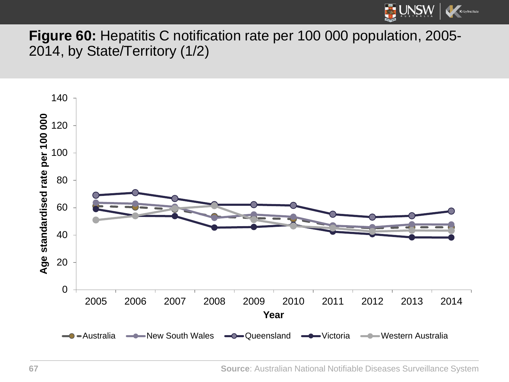

## **Figure 60:** Hepatitis C notification rate per 100 000 population, 2005- 2014, by State/Territory (1/2)

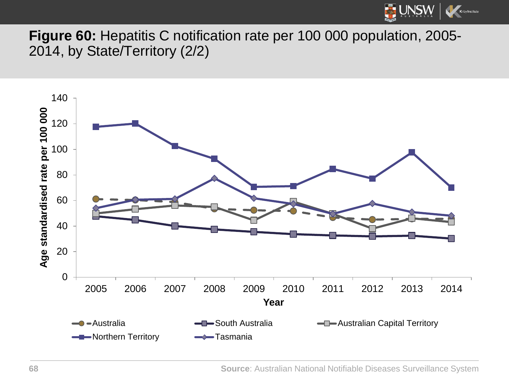

**Figure 60:** Hepatitis C notification rate per 100 000 population, 2005- 2014, by State/Territory (2/2)

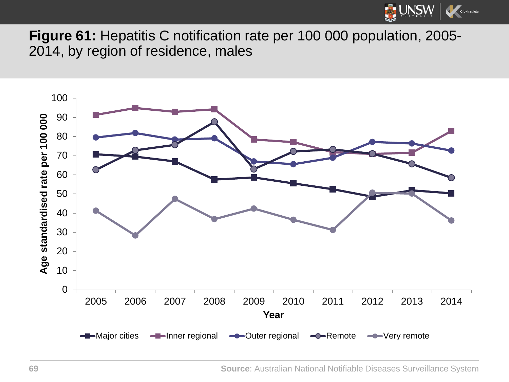

**Figure 61:** Hepatitis C notification rate per 100 000 population, 2005- 2014, by region of residence, males

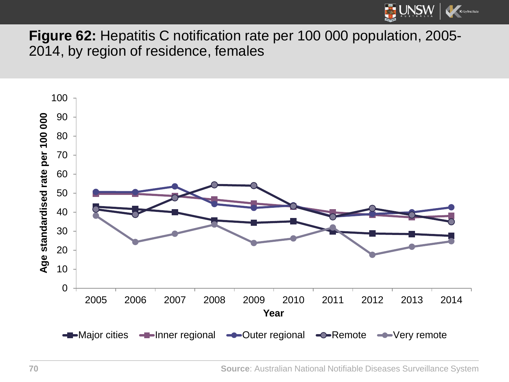

**Figure 62:** Hepatitis C notification rate per 100 000 population, 2005- 2014, by region of residence, females

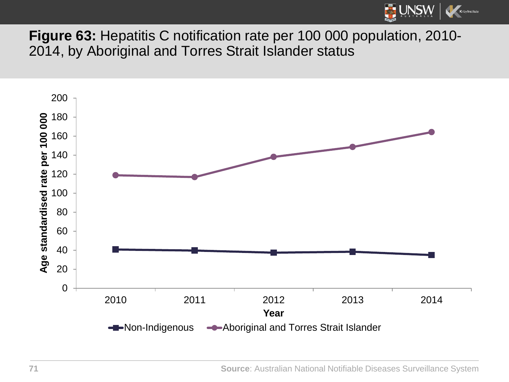

**Figure 63:** Hepatitis C notification rate per 100 000 population, 2010- 2014, by Aboriginal and Torres Strait Islander status

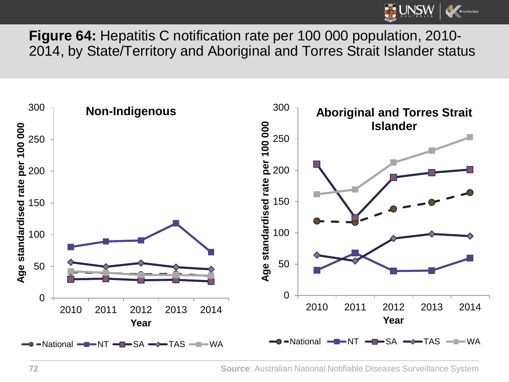

**Figure 64:** Hepatitis C notification rate per 100 000 population, 2010- 2014, by State/Territory and Aboriginal and Torres Strait Islander status

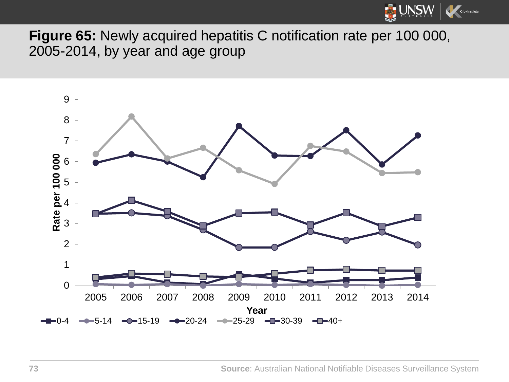

**Figure 65:** Newly acquired hepatitis C notification rate per 100 000, 2005-2014, by year and age group

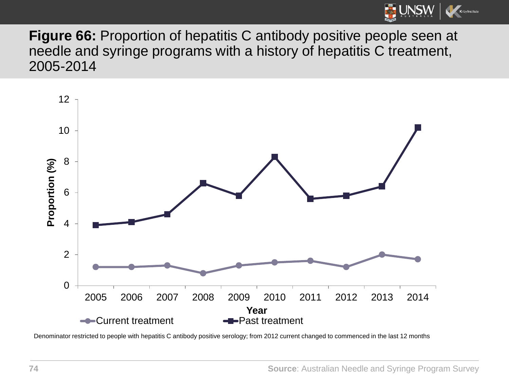

**Figure 66:** Proportion of hepatitis C antibody positive people seen at needle and syringe programs with a history of hepatitis C treatment, 2005-2014



Denominator restricted to people with hepatitis C antibody positive serology; from 2012 current changed to commenced in the last 12 months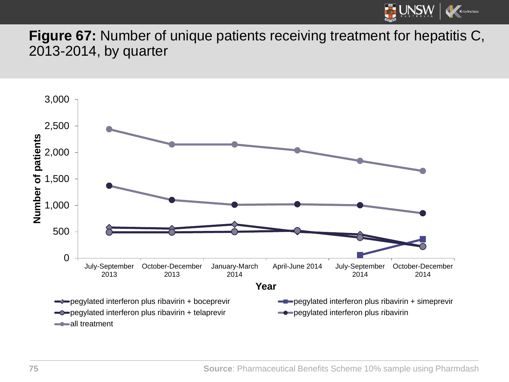

**Figure 67:** Number of unique patients receiving treatment for hepatitis C, 2013-2014, by quarter

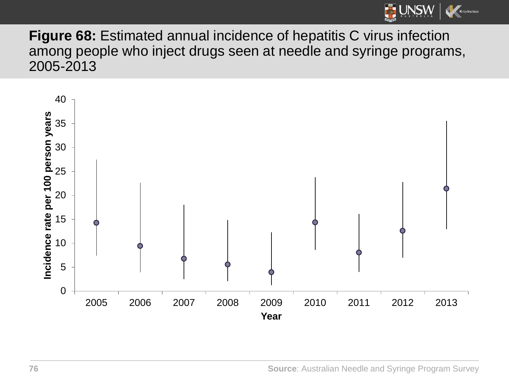

**Figure 68:** Estimated annual incidence of hepatitis C virus infection among people who inject drugs seen at needle and syringe programs, 2005-2013

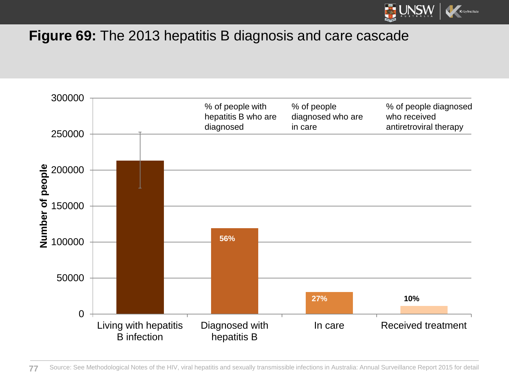

## **Figure 69:** The 2013 hepatitis B diagnosis and care cascade

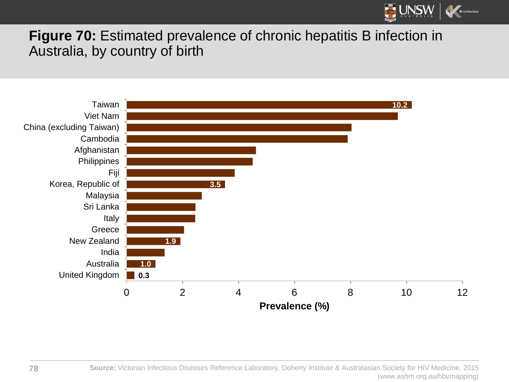

## **Figure 70:** Estimated prevalence of chronic hepatitis B infection in Australia, by country of birth

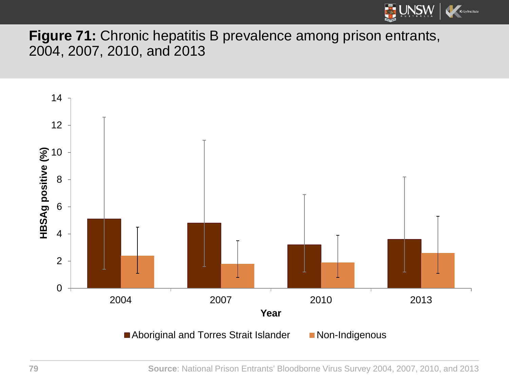

**Figure 71:** Chronic hepatitis B prevalence among prison entrants, 2004, 2007, 2010, and 2013

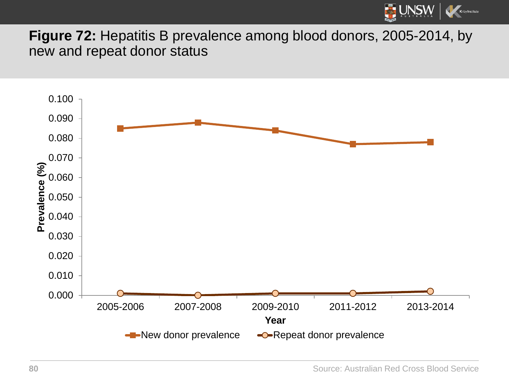

**Figure 72:** Hepatitis B prevalence among blood donors, 2005-2014, by new and repeat donor status

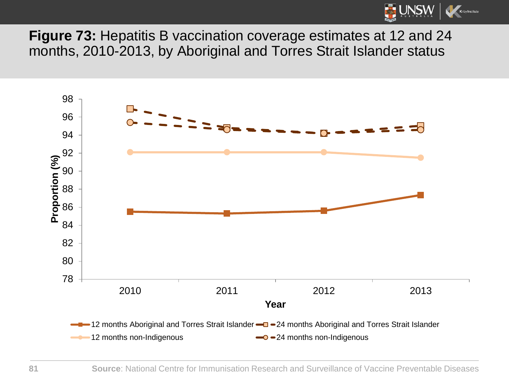

**Figure 73:** Hepatitis B vaccination coverage estimates at 12 and 24 months, 2010-2013, by Aboriginal and Torres Strait Islander status

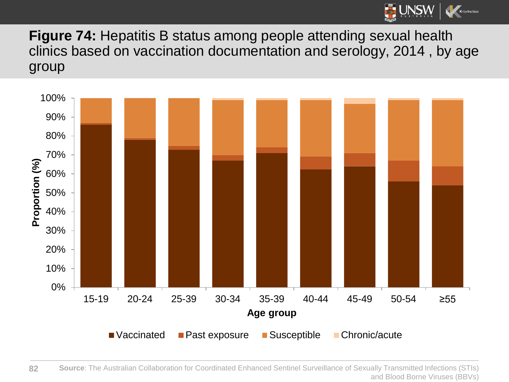

**Figure 74:** Hepatitis B status among people attending sexual health clinics based on vaccination documentation and serology, 2014 , by age group

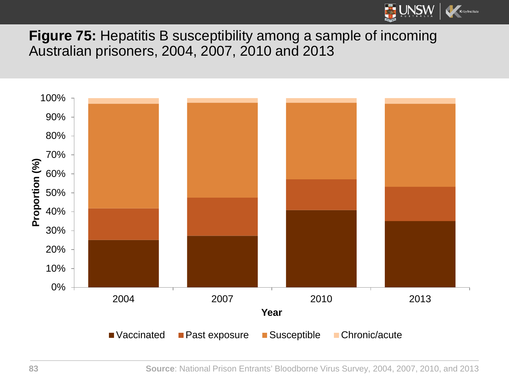

**Figure 75:** Hepatitis B susceptibility among a sample of incoming Australian prisoners, 2004, 2007, 2010 and 2013

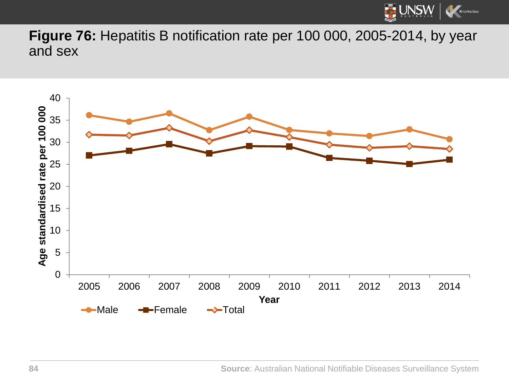

**Figure 76:** Hepatitis B notification rate per 100 000, 2005-2014, by year and sex

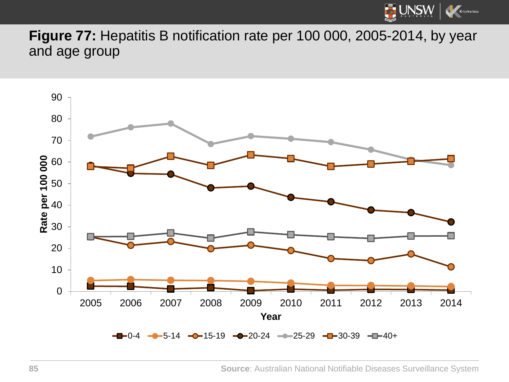

**Figure 77:** Hepatitis B notification rate per 100 000, 2005-2014, by year and age group

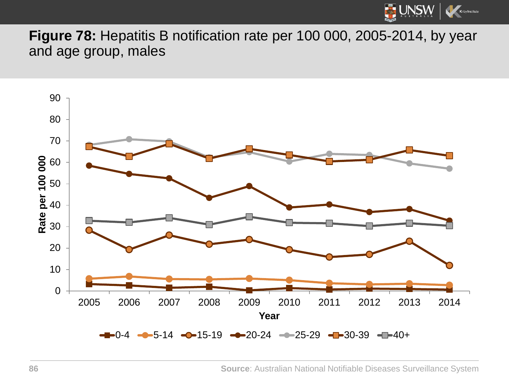

**Figure 78:** Hepatitis B notification rate per 100 000, 2005-2014, by year and age group, males

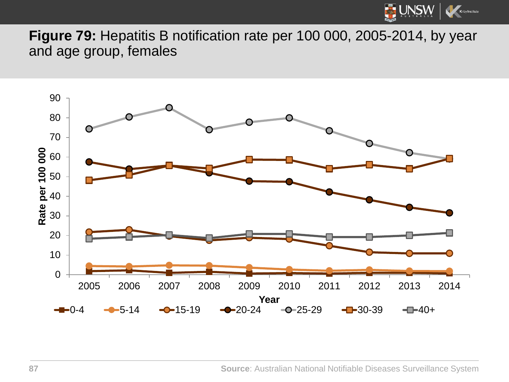

**Figure 79:** Hepatitis B notification rate per 100 000, 2005-2014, by year and age group, females

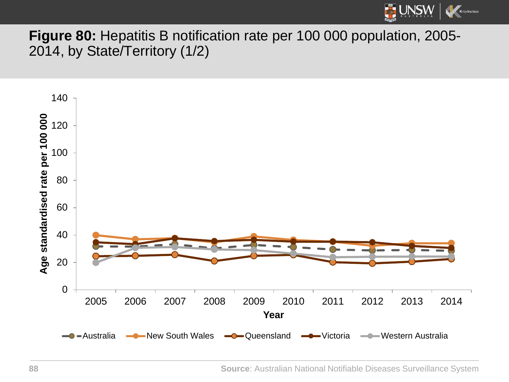

**Figure 80:** Hepatitis B notification rate per 100 000 population, 2005- 2014, by State/Territory (1/2)

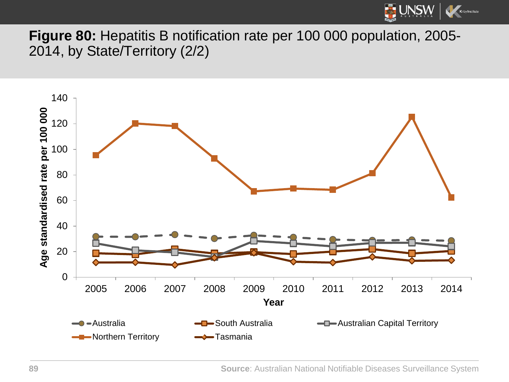

**Figure 80:** Hepatitis B notification rate per 100 000 population, 2005- 2014, by State/Territory (2/2)

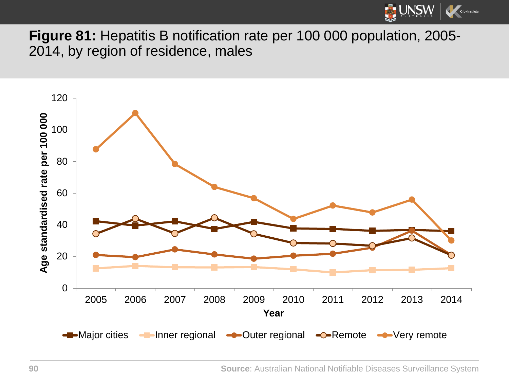

**Figure 81:** Hepatitis B notification rate per 100 000 population, 2005- 2014, by region of residence, males

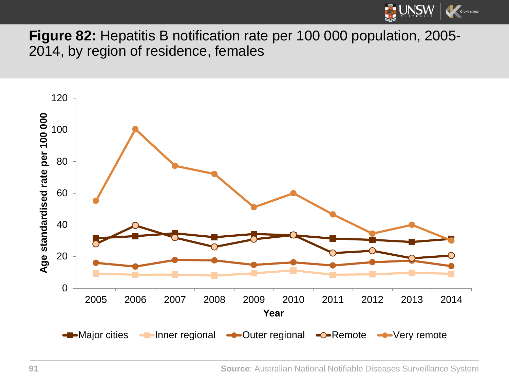

**Figure 82:** Hepatitis B notification rate per 100 000 population, 2005- 2014, by region of residence, females

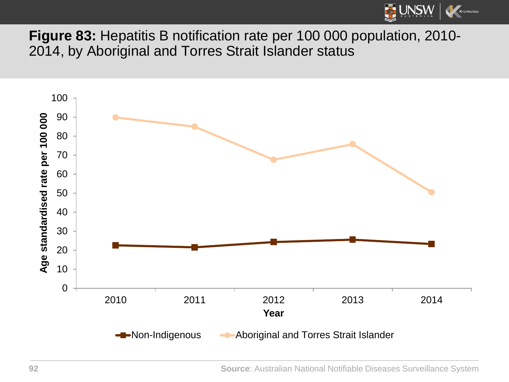

**Figure 83:** Hepatitis B notification rate per 100 000 population, 2010- 2014, by Aboriginal and Torres Strait Islander status

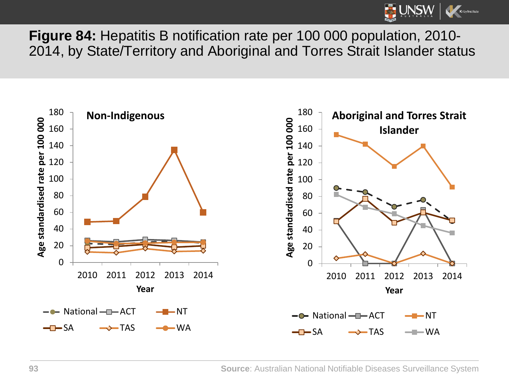

**Figure 84:** Hepatitis B notification rate per 100 000 population, 2010- 2014, by State/Territory and Aboriginal and Torres Strait Islander status

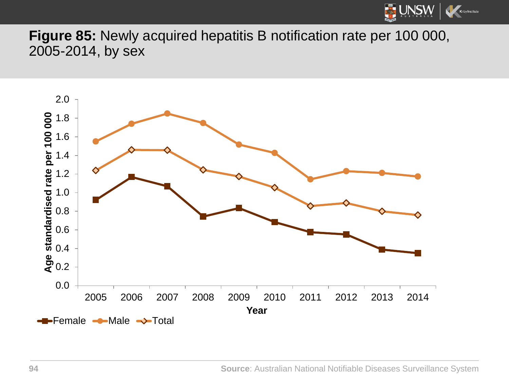

**Figure 85:** Newly acquired hepatitis B notification rate per 100 000, 2005-2014, by sex

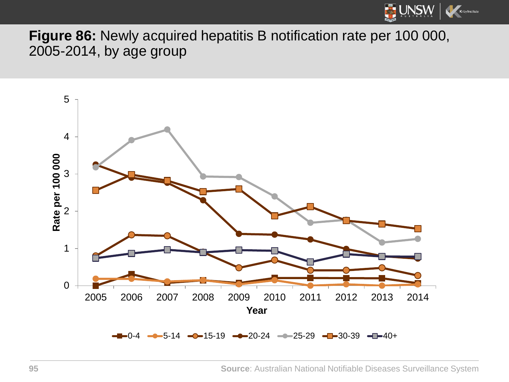

**Figure 86:** Newly acquired hepatitis B notification rate per 100 000, 2005-2014, by age group

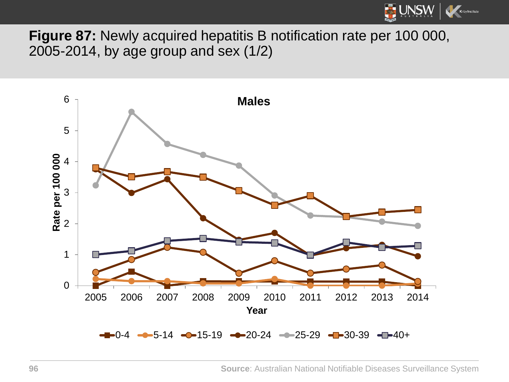

**Figure 87:** Newly acquired hepatitis B notification rate per 100 000, 2005-2014, by age group and sex (1/2)

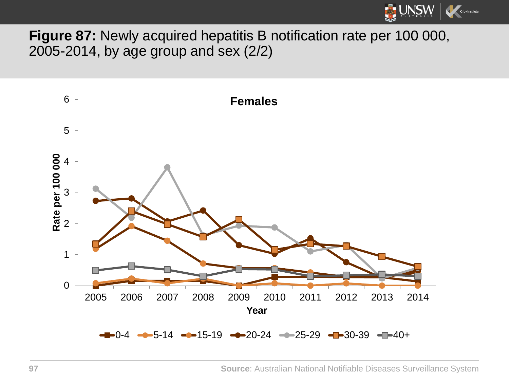

**Figure 87:** Newly acquired hepatitis B notification rate per 100 000, 2005-2014, by age group and sex (2/2)

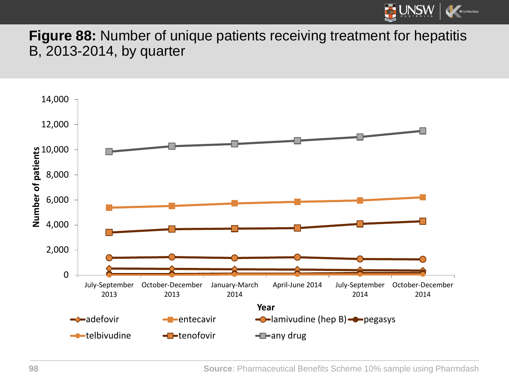

**Figure 88:** Number of unique patients receiving treatment for hepatitis B, 2013-2014, by quarter

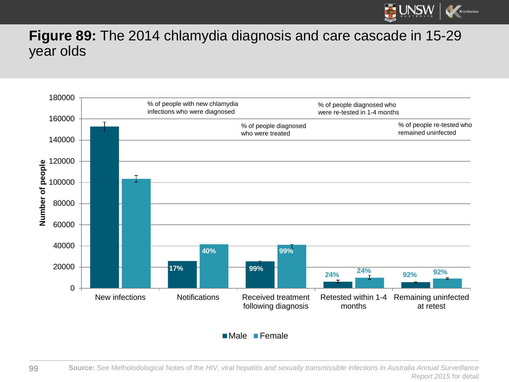

## **Figure 89:** The 2014 chlamydia diagnosis and care cascade in 15-29 year olds



**Male Female** 

**99**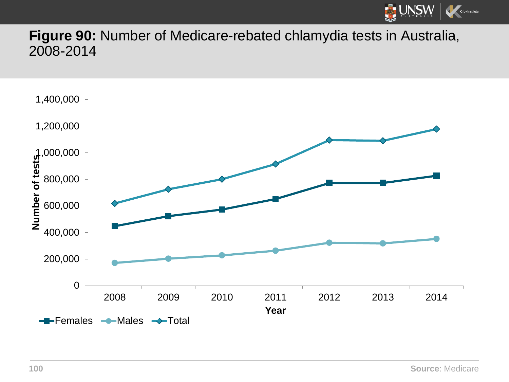

**Figure 90:** Number of Medicare-rebated chlamydia tests in Australia, 2008-2014

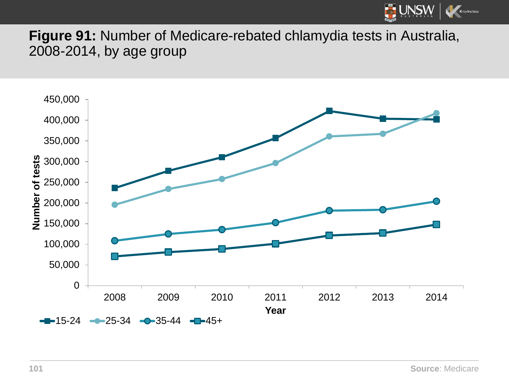

**Figure 91:** Number of Medicare-rebated chlamydia tests in Australia, 2008-2014, by age group

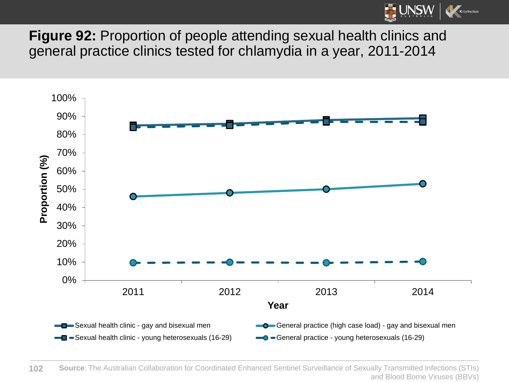

**Figure 92:** Proportion of people attending sexual health clinics and general practice clinics tested for chlamydia in a year, 2011-2014



**102 Source**: The Australian Collaboration for Coordinated Enhanced Sentinel Surveillance of Sexually Transmitted Infections (STIs) and Blood Borne Viruses (BBVs)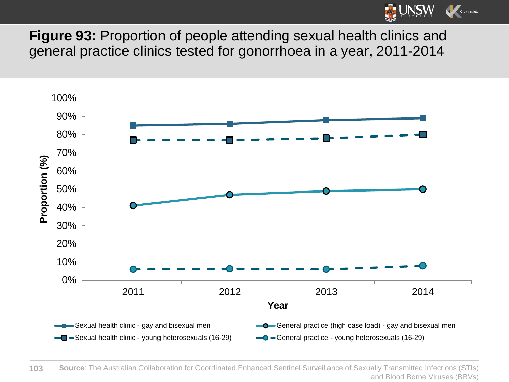

**Figure 93:** Proportion of people attending sexual health clinics and general practice clinics tested for gonorrhoea in a year, 2011-2014

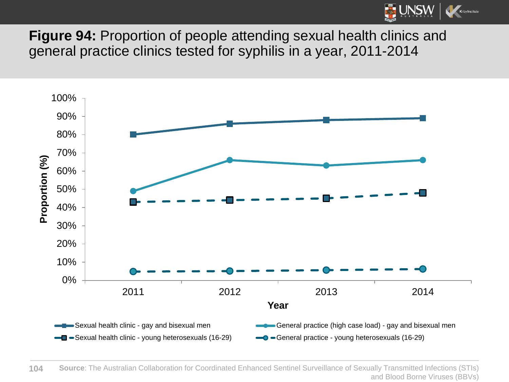

**Figure 94:** Proportion of people attending sexual health clinics and general practice clinics tested for syphilis in a year, 2011-2014



**104 Source**: The Australian Collaboration for Coordinated Enhanced Sentinel Surveillance of Sexually Transmitted Infections (STIs) and Blood Borne Viruses (BBVs)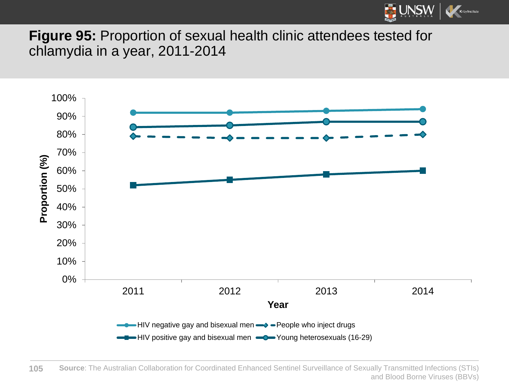

**Figure 95:** Proportion of sexual health clinic attendees tested for chlamydia in a year, 2011-2014

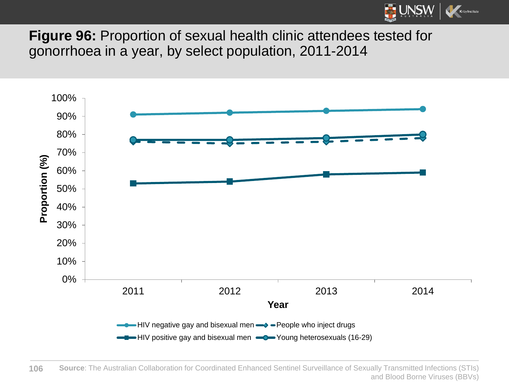

**Figure 96:** Proportion of sexual health clinic attendees tested for gonorrhoea in a year, by select population, 2011-2014



**106 Source**: The Australian Collaboration for Coordinated Enhanced Sentinel Surveillance of Sexually Transmitted Infections (STIs) and Blood Borne Viruses (BBVs)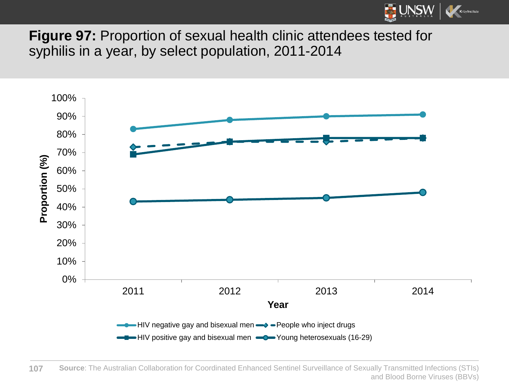

**Figure 97:** Proportion of sexual health clinic attendees tested for syphilis in a year, by select population, 2011-2014

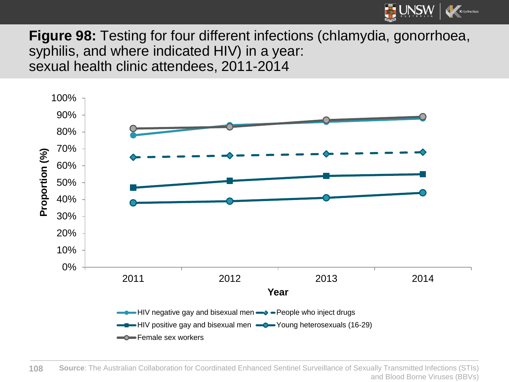

**Figure 98:** Testing for four different infections (chlamydia, gonorrhoea, syphilis, and where indicated HIV) in a year: sexual health clinic attendees, 2011-2014

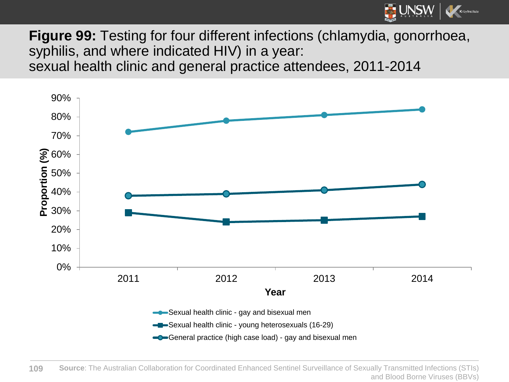

**Figure 99:** Testing for four different infections (chlamydia, gonorrhoea, syphilis, and where indicated HIV) in a year: sexual health clinic and general practice attendees, 2011-2014

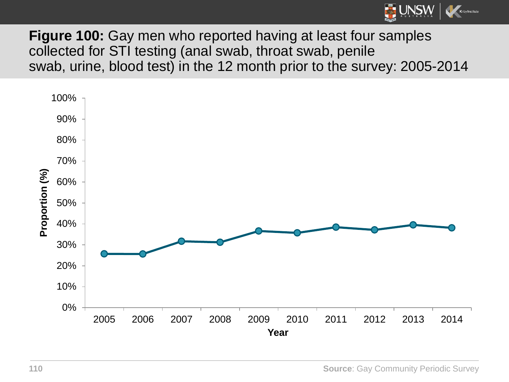

**Figure 100:** Gay men who reported having at least four samples collected for STI testing (anal swab, throat swab, penile swab, urine, blood test) in the 12 month prior to the survey: 2005-2014

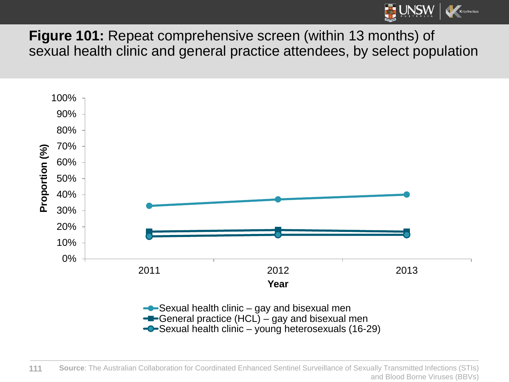

**Figure 101:** Repeat comprehensive screen (within 13 months) of sexual health clinic and general practice attendees, by select population



 $\bigcirc$ -Sexual health clinic – young heterosexuals (16-29)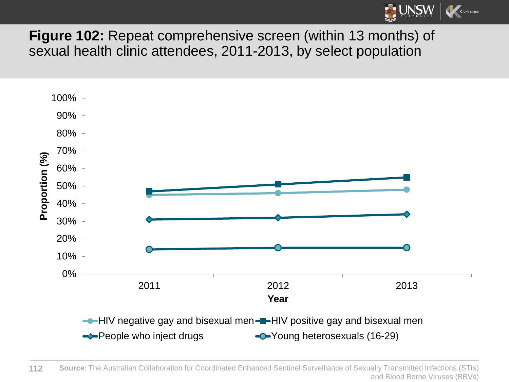

**Figure 102:** Repeat comprehensive screen (within 13 months) of sexual health clinic attendees, 2011-2013, by select population



**112 Source**: The Australian Collaboration for Coordinated Enhanced Sentinel Surveillance of Sexually Transmitted Infections (STIs) and Blood Borne Viruses (BBVs)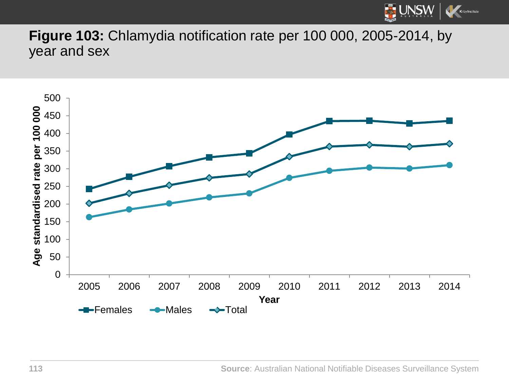

**Figure 103:** Chlamydia notification rate per 100 000, 2005-2014, by year and sex

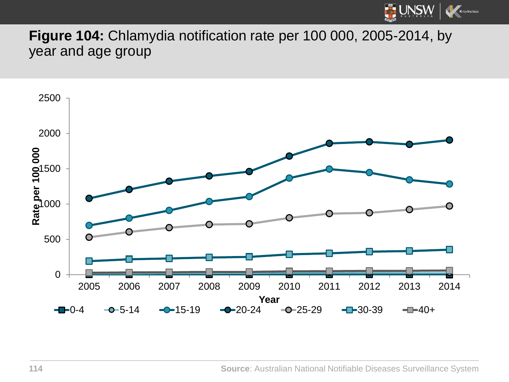

**Figure 104:** Chlamydia notification rate per 100 000, 2005-2014, by year and age group

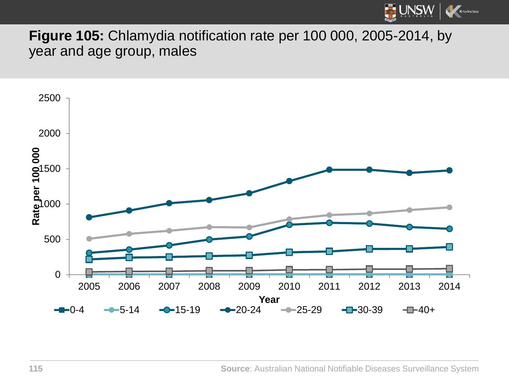

**Figure 105:** Chlamydia notification rate per 100 000, 2005-2014, by year and age group, males

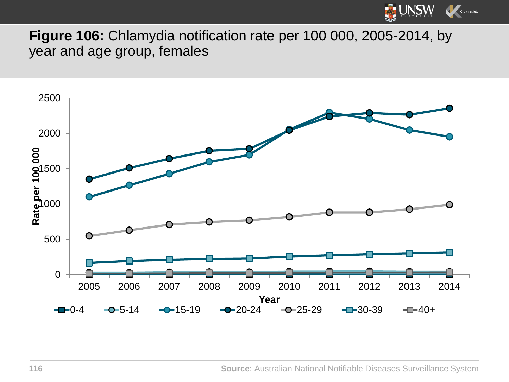

**Figure 106:** Chlamydia notification rate per 100 000, 2005-2014, by year and age group, females

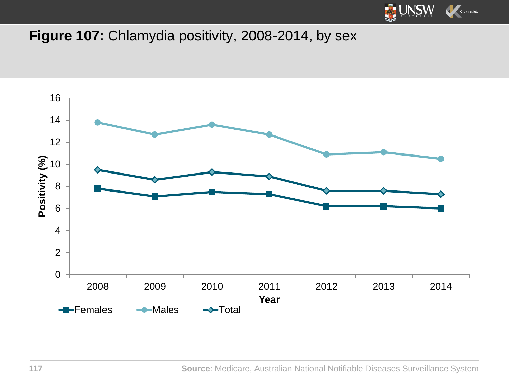

## Figure 107: Chlamydia positivity, 2008-2014, by sex

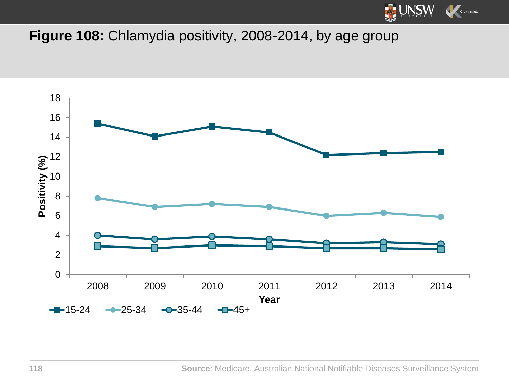

## Figure 108: Chlamydia positivity, 2008-2014, by age group

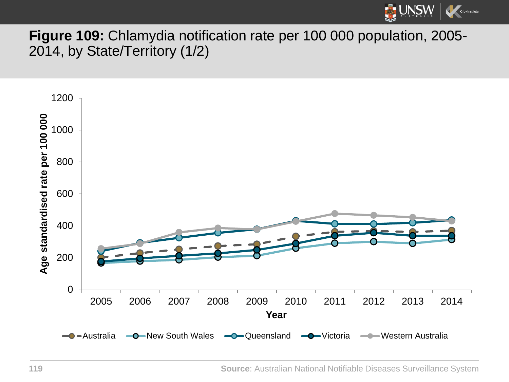

## **Figure 109:** Chlamydia notification rate per 100 000 population, 2005- 2014, by State/Territory (1/2)

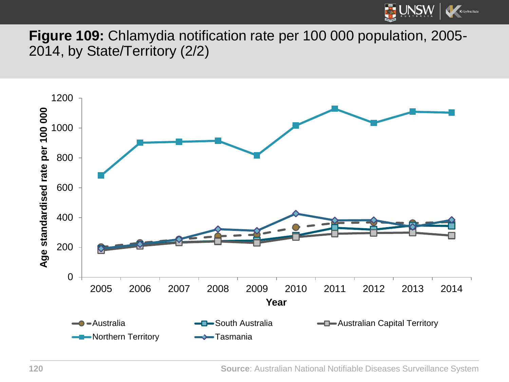

**Figure 109:** Chlamydia notification rate per 100 000 population, 2005- 2014, by State/Territory (2/2)

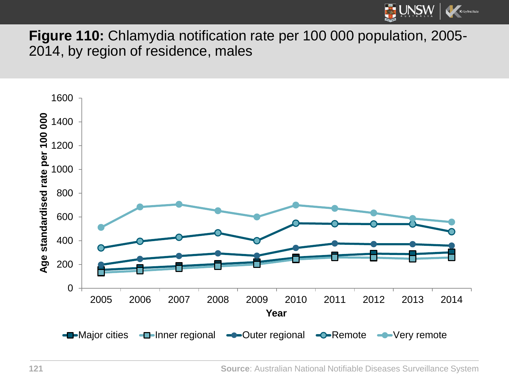

**Figure 110:** Chlamydia notification rate per 100 000 population, 2005- 2014, by region of residence, males

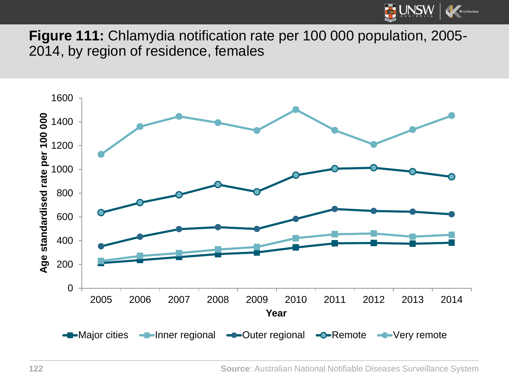![](_page_121_Picture_0.jpeg)

**Figure 111:** Chlamydia notification rate per 100 000 population, 2005- 2014, by region of residence, females

![](_page_121_Figure_2.jpeg)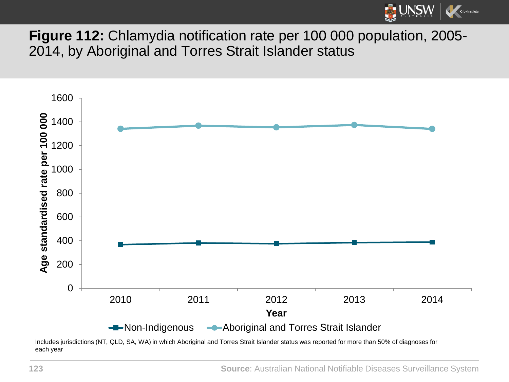![](_page_122_Picture_0.jpeg)

**Figure 112:** Chlamydia notification rate per 100 000 population, 2005- 2014, by Aboriginal and Torres Strait Islander status

![](_page_122_Figure_2.jpeg)

Includes jurisdictions (NT, QLD, SA, WA) in which Aboriginal and Torres Strait Islander status was reported for more than 50% of diagnoses for each year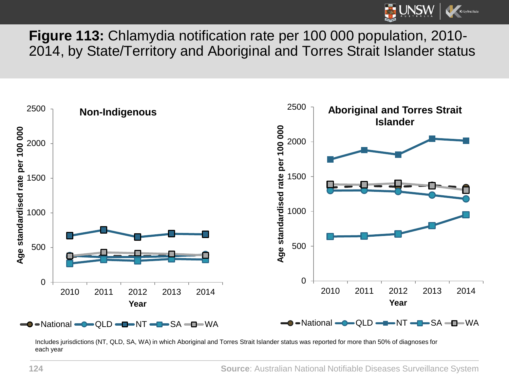![](_page_123_Picture_0.jpeg)

**Figure 113:** Chlamydia notification rate per 100 000 population, 2010- 2014, by State/Territory and Aboriginal and Torres Strait Islander status

![](_page_123_Figure_2.jpeg)

Includes jurisdictions (NT, QLD, SA, WA) in which Aboriginal and Torres Strait Islander status was reported for more than 50% of diagnoses for each year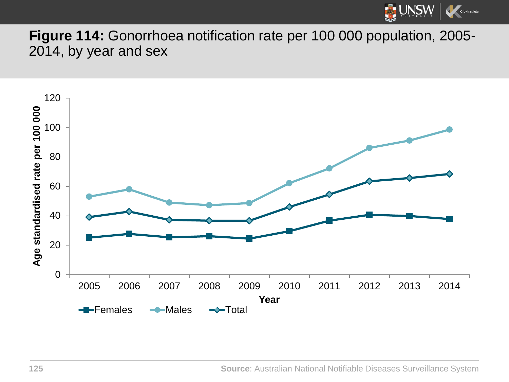![](_page_124_Picture_0.jpeg)

**Figure 114:** Gonorrhoea notification rate per 100 000 population, 2005- 2014, by year and sex

![](_page_124_Figure_2.jpeg)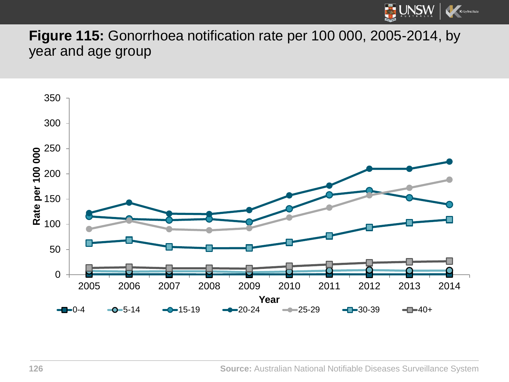![](_page_125_Picture_0.jpeg)

**Figure 115:** Gonorrhoea notification rate per 100 000, 2005-2014, by year and age group

![](_page_125_Figure_2.jpeg)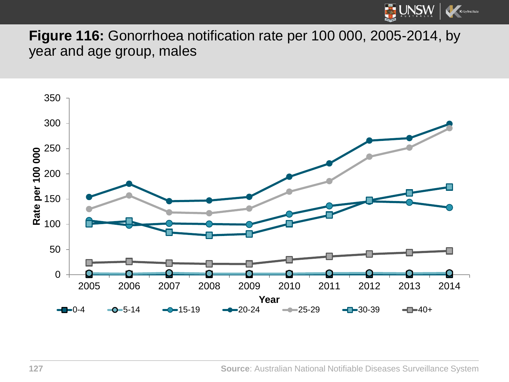![](_page_126_Picture_0.jpeg)

**Figure 116:** Gonorrhoea notification rate per 100 000, 2005-2014, by year and age group, males

![](_page_126_Figure_2.jpeg)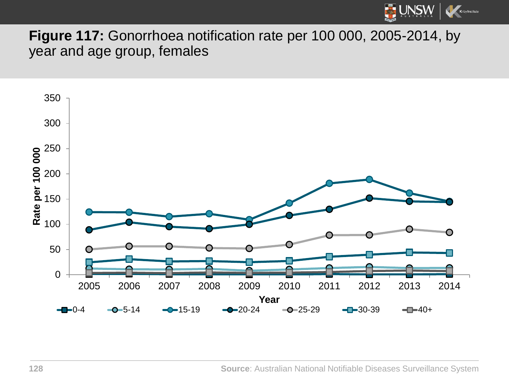![](_page_127_Picture_0.jpeg)

**Figure 117:** Gonorrhoea notification rate per 100 000, 2005-2014, by year and age group, females

![](_page_127_Figure_2.jpeg)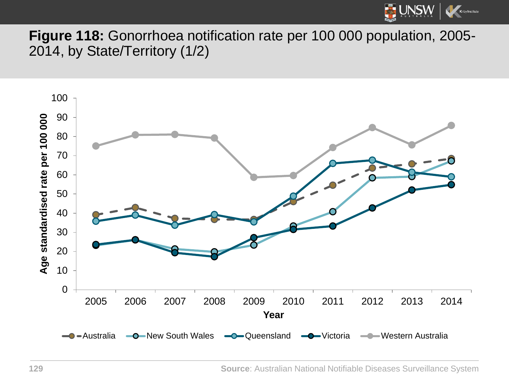![](_page_128_Picture_0.jpeg)

**Figure 118:** Gonorrhoea notification rate per 100 000 population, 2005- 2014, by State/Territory (1/2)

![](_page_128_Figure_2.jpeg)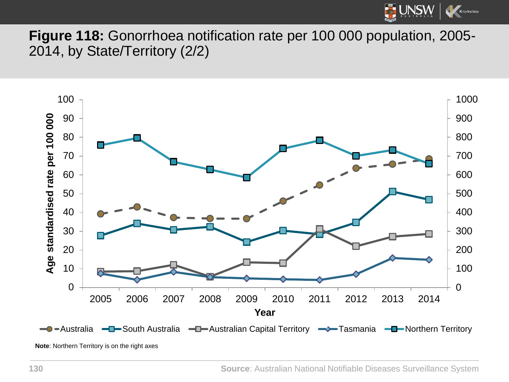![](_page_129_Picture_0.jpeg)

**Figure 118:** Gonorrhoea notification rate per 100 000 population, 2005- 2014, by State/Territory (2/2)

![](_page_129_Figure_2.jpeg)

**Note**: Northern Territory is on the right axes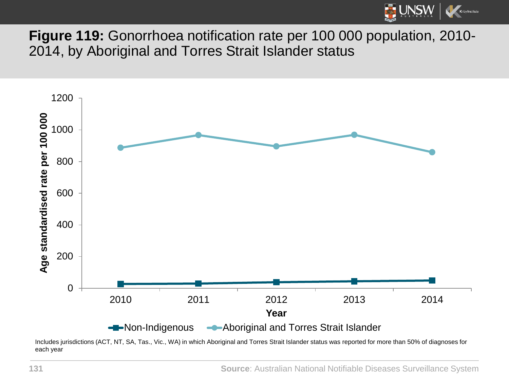![](_page_130_Picture_0.jpeg)

**Figure 119:** Gonorrhoea notification rate per 100 000 population, 2010- 2014, by Aboriginal and Torres Strait Islander status

![](_page_130_Figure_2.jpeg)

Includes jurisdictions (ACT, NT, SA, Tas., Vic., WA) in which Aboriginal and Torres Strait Islander status was reported for more than 50% of diagnoses for each year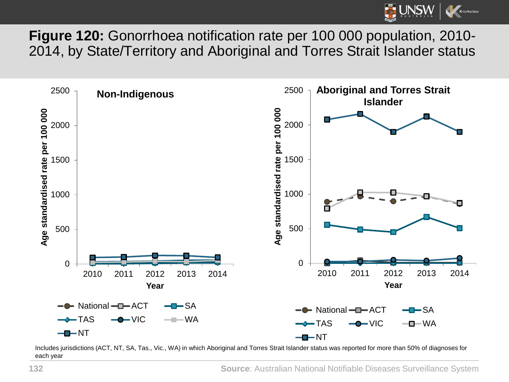![](_page_131_Picture_0.jpeg)

**Figure 120:** Gonorrhoea notification rate per 100 000 population, 2010- 2014, by State/Territory and Aboriginal and Torres Strait Islander status

![](_page_131_Figure_2.jpeg)

Includes jurisdictions (ACT, NT, SA, Tas., Vic., WA) in which Aboriginal and Torres Strait Islander status was reported for more than 50% of diagnoses for each year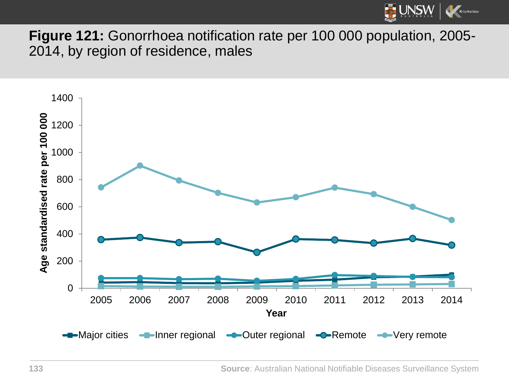![](_page_132_Picture_0.jpeg)

**Figure 121:** Gonorrhoea notification rate per 100 000 population, 2005- 2014, by region of residence, males

![](_page_132_Figure_2.jpeg)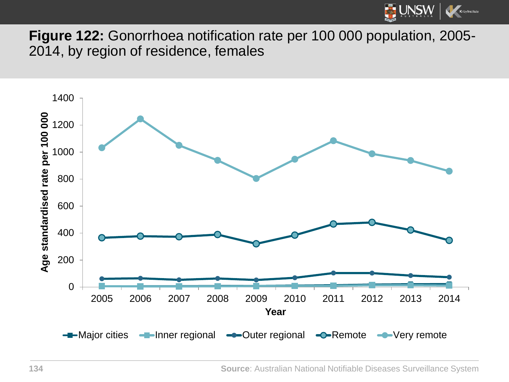![](_page_133_Picture_0.jpeg)

**Figure 122:** Gonorrhoea notification rate per 100 000 population, 2005- 2014, by region of residence, females

![](_page_133_Figure_2.jpeg)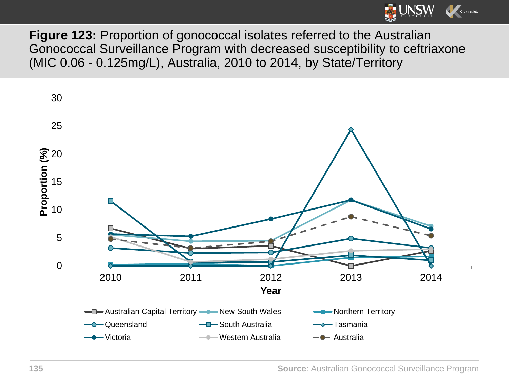![](_page_134_Picture_0.jpeg)

**Figure 123:** Proportion of gonococcal isolates referred to the Australian Gonococcal Surveillance Program with decreased susceptibility to ceftriaxone (MIC 0.06 - 0.125mg/L), Australia, 2010 to 2014, by State/Territory

![](_page_134_Figure_2.jpeg)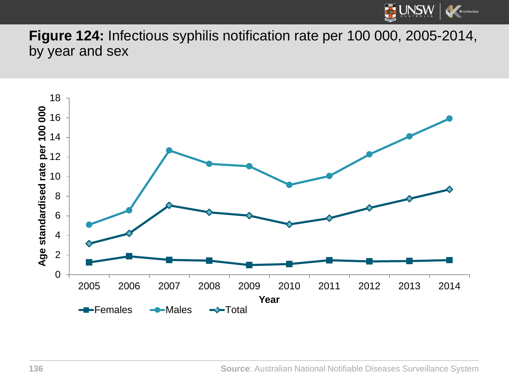![](_page_135_Picture_0.jpeg)

**Figure 124:** Infectious syphilis notification rate per 100 000, 2005-2014, by year and sex

![](_page_135_Figure_2.jpeg)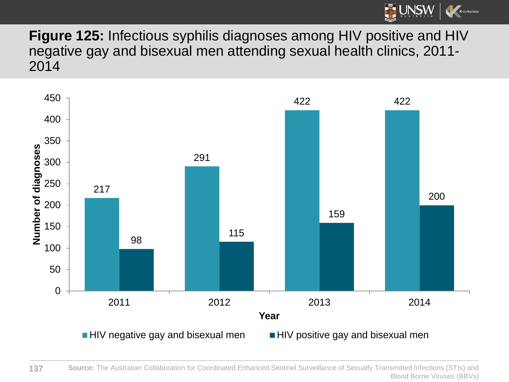![](_page_136_Picture_0.jpeg)

**Figure 125:** Infectious syphilis diagnoses among HIV positive and HIV negative gay and bisexual men attending sexual health clinics, 2011- 

![](_page_136_Figure_2.jpeg)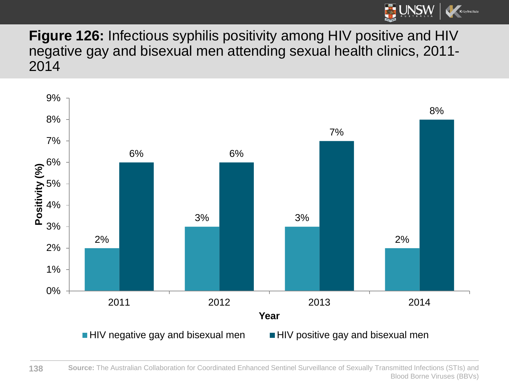![](_page_137_Picture_0.jpeg)

**Figure 126:** Infectious syphilis positivity among HIV positive and HIV negative gay and bisexual men attending sexual health clinics, 2011- 2014

![](_page_137_Figure_2.jpeg)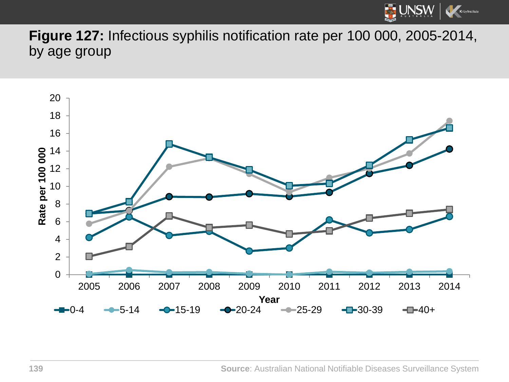![](_page_138_Picture_0.jpeg)

**Figure 127:** Infectious syphilis notification rate per 100 000, 2005-2014, by age group

![](_page_138_Figure_2.jpeg)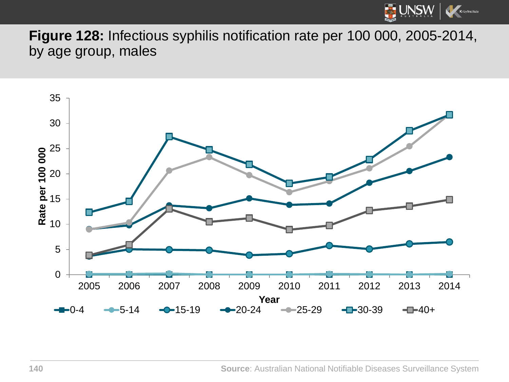![](_page_139_Picture_0.jpeg)

**Figure 128:** Infectious syphilis notification rate per 100 000, 2005-2014, by age group, males

![](_page_139_Figure_2.jpeg)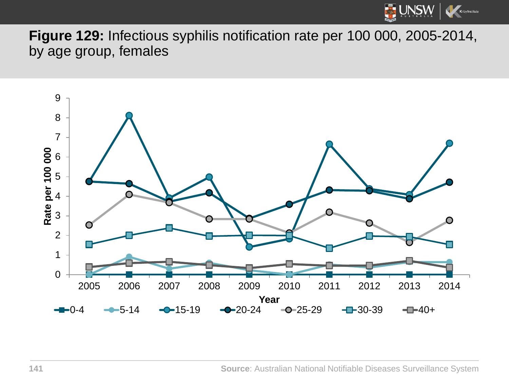![](_page_140_Picture_0.jpeg)

**Figure 129:** Infectious syphilis notification rate per 100 000, 2005-2014, by age group, females

![](_page_140_Figure_2.jpeg)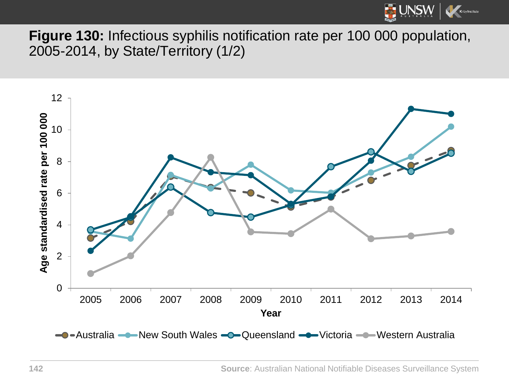![](_page_141_Picture_0.jpeg)

**Figure 130:** Infectious syphilis notification rate per 100 000 population, 2005-2014, by State/Territory (1/2)

![](_page_141_Figure_2.jpeg)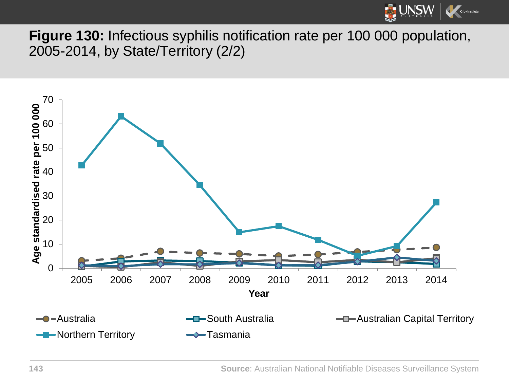![](_page_142_Picture_0.jpeg)

**Figure 130:** Infectious syphilis notification rate per 100 000 population, 2005-2014, by State/Territory (2/2)

![](_page_142_Figure_2.jpeg)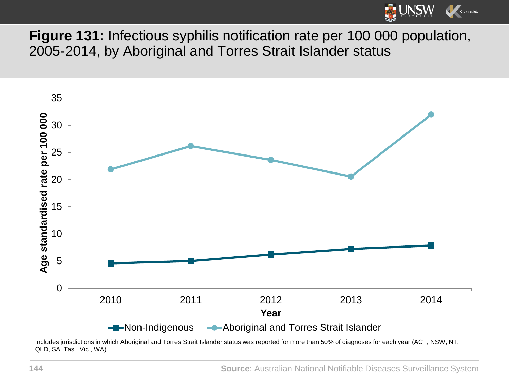![](_page_143_Picture_0.jpeg)

**Figure 131:** Infectious syphilis notification rate per 100 000 population, 2005-2014, by Aboriginal and Torres Strait Islander status

![](_page_143_Figure_2.jpeg)

Includes jurisdictions in which Aboriginal and Torres Strait Islander status was reported for more than 50% of diagnoses for each year (ACT, NSW, NT, QLD, SA, Tas., Vic., WA)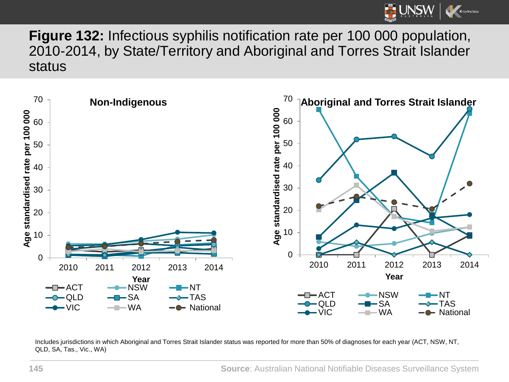

**Figure 132:** Infectious syphilis notification rate per 100 000 population, 2010-2014, by State/Territory and Aboriginal and Torres Strait Islander status



Includes jurisdictions in which Aboriginal and Torres Strait Islander status was reported for more than 50% of diagnoses for each year (ACT, NSW, NT, QLD, SA, Tas., Vic., WA)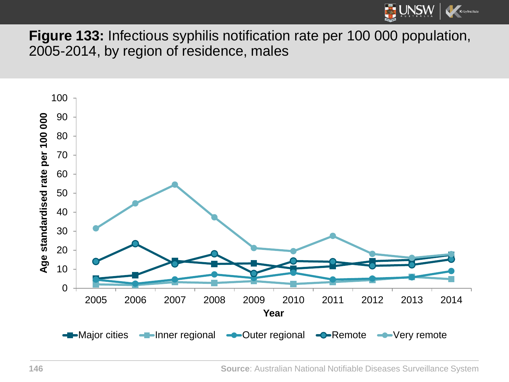

**Figure 133:** Infectious syphilis notification rate per 100 000 population, 2005-2014, by region of residence, males

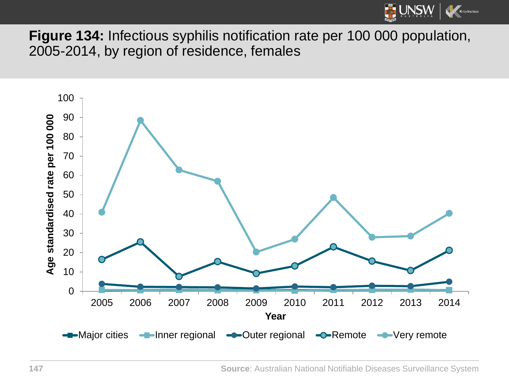

**Figure 134:** Infectious syphilis notification rate per 100 000 population, 2005-2014, by region of residence, females



**Source**: Australian National Notifiable Diseases Surveillance System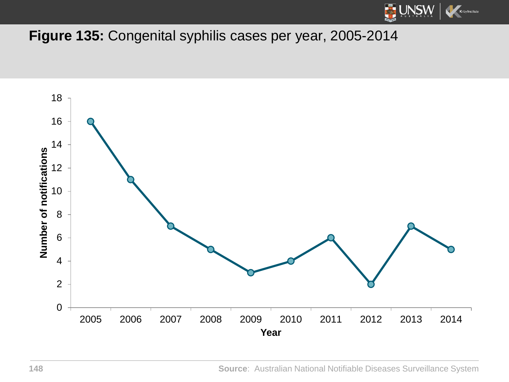

## **Figure 135:** Congenital syphilis cases per year, 2005-2014



**Source**: Australian National Notifiable Diseases Surveillance System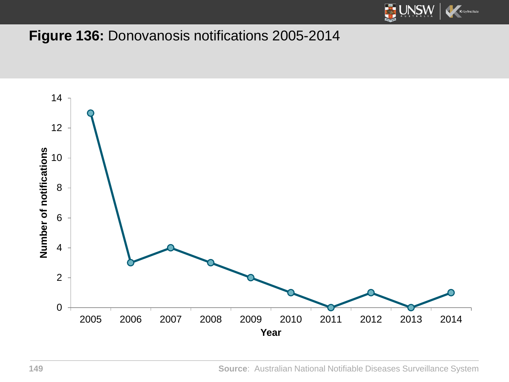

## **Figure 136:** Donovanosis notifications 2005-2014

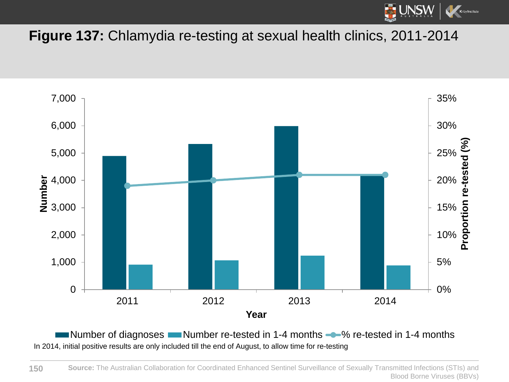

**Figure 137:** Chlamydia re-testing at sexual health clinics, 2011-2014



Number of diagnoses  $\blacksquare$  Number re-tested in 1-4 months  $\clubsuit$  % re-tested in 1-4 months In 2014, initial positive results are only included till the end of August, to allow time for re-testing

**Source:** The Australian Collaboration for Coordinated Enhanced Sentinel Surveillance of Sexually Transmitted Infections (STIs) and Blood Borne Viruses (BBVs) **150**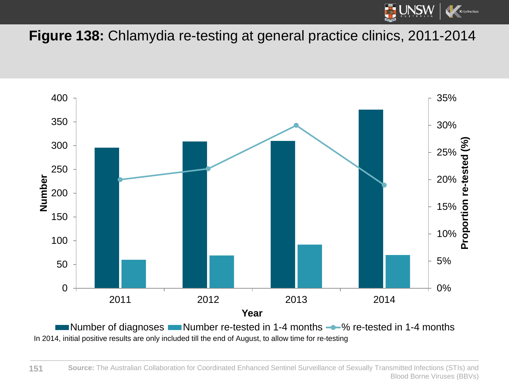

**Figure 138:** Chlamydia re-testing at general practice clinics, 2011-2014



In 2014, initial positive results are only included till the end of August, to allow time for re-testing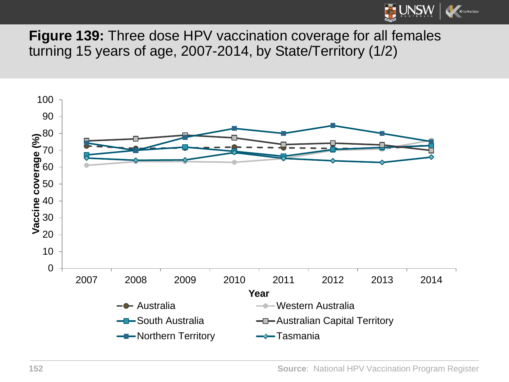

**Figure 139:** Three dose HPV vaccination coverage for all females turning 15 years of age, 2007-2014, by State/Territory (1/2)

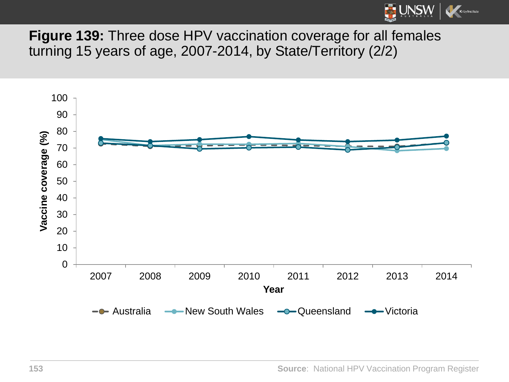

**Figure 139:** Three dose HPV vaccination coverage for all females turning 15 years of age, 2007-2014, by State/Territory (2/2)

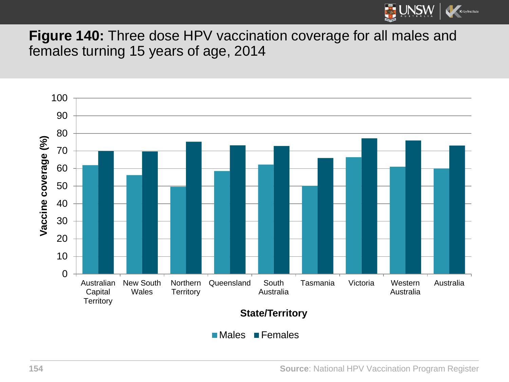

**Figure 140:** Three dose HPV vaccination coverage for all males and females turning 15 years of age, 2014



**154 Source**: National HPV Vaccination Program Register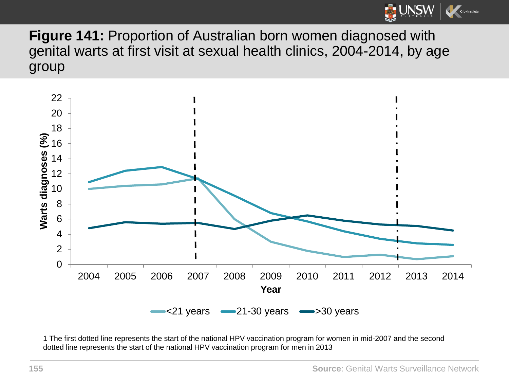

**Figure 141:** Proportion of Australian born women diagnosed with genital warts at first visit at sexual health clinics, 2004-2014, by age group



1 The first dotted line represents the start of the national HPV vaccination program for women in mid-2007 and the second dotted line represents the start of the national HPV vaccination program for men in 2013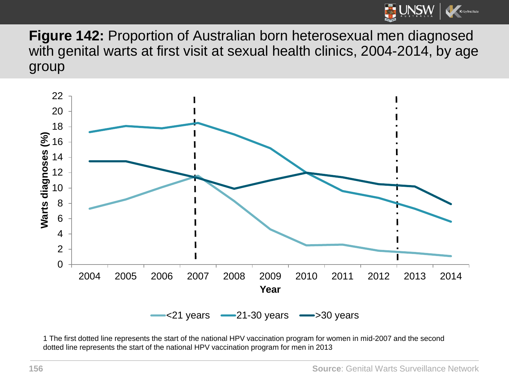

**Figure 142:** Proportion of Australian born heterosexual men diagnosed with genital warts at first visit at sexual health clinics, 2004-2014, by age group



1 The first dotted line represents the start of the national HPV vaccination program for women in mid-2007 and the second dotted line represents the start of the national HPV vaccination program for men in 2013